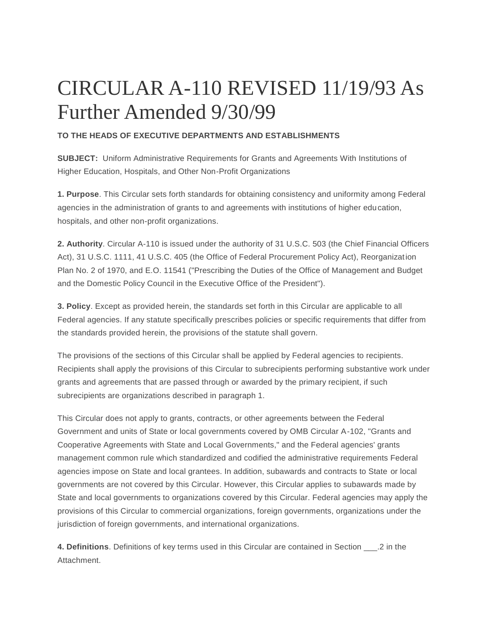# CIRCULAR A-110 REVISED 11/19/93 As Further Amended 9/30/99

# **TO THE HEADS OF EXECUTIVE DEPARTMENTS AND ESTABLISHMENTS**

**SUBJECT:** Uniform Administrative Requirements for Grants and Agreements With Institutions of Higher Education, Hospitals, and Other Non-Profit Organizations

**1. Purpose**. This Circular sets forth standards for obtaining consistency and uniformity among Federal agencies in the administration of grants to and agreements with institutions of higher education, hospitals, and other non-profit organizations.

**2. Authority**. Circular A-110 is issued under the authority of 31 U.S.C. 503 (the Chief Financial Officers Act), 31 U.S.C. 1111, 41 U.S.C. 405 (the Office of Federal Procurement Policy Act), Reorganization Plan No. 2 of 1970, and E.O. 11541 ("Prescribing the Duties of the Office of Management and Budget and the Domestic Policy Council in the Executive Office of the President").

**3. Policy**. Except as provided herein, the standards set forth in this Circular are applicable to all Federal agencies. If any statute specifically prescribes policies or specific requirements that differ from the standards provided herein, the provisions of the statute shall govern.

The provisions of the sections of this Circular shall be applied by Federal agencies to recipients. Recipients shall apply the provisions of this Circular to subrecipients performing substantive work under grants and agreements that are passed through or awarded by the primary recipient, if such subrecipients are organizations described in paragraph 1.

This Circular does not apply to grants, contracts, or other agreements between the Federal Government and units of State or local governments covered by OMB Circular A-102, "Grants and Cooperative Agreements with State and Local Governments," and the Federal agencies' grants management common rule which standardized and codified the administrative requirements Federal agencies impose on State and local grantees. In addition, subawards and contracts to State or local governments are not covered by this Circular. However, this Circular applies to subawards made by State and local governments to organizations covered by this Circular. Federal agencies may apply the provisions of this Circular to commercial organizations, foreign governments, organizations under the jurisdiction of foreign governments, and international organizations.

**4. Definitions**. Definitions of key terms used in this Circular are contained in Section \_\_\_.2 in the Attachment.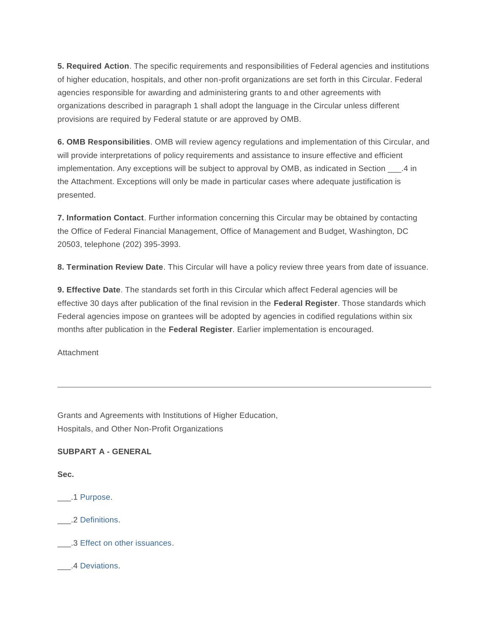**5. Required Action**. The specific requirements and responsibilities of Federal agencies and institutions of higher education, hospitals, and other non-profit organizations are set forth in this Circular. Federal agencies responsible for awarding and administering grants to and other agreements with organizations described in paragraph 1 shall adopt the language in the Circular unless different provisions are required by Federal statute or are approved by OMB.

**6. OMB Responsibilities**. OMB will review agency regulations and implementation of this Circular, and will provide interpretations of policy requirements and assistance to insure effective and efficient implementation. Any exceptions will be subject to approval by OMB, as indicated in Section \_\_\_.4 in the Attachment. Exceptions will only be made in particular cases where adequate justification is presented.

**7. Information Contact**. Further information concerning this Circular may be obtained by contacting the Office of Federal Financial Management, Office of Management and Budget, Washington, DC 20503, telephone (202) 395-3993.

**8. Termination Review Date**. This Circular will have a policy review three years from date of issuance.

**9. Effective Date**. The standards set forth in this Circular which affect Federal agencies will be effective 30 days after publication of the final revision in the **Federal Register**. Those standards which Federal agencies impose on grantees will be adopted by agencies in codified regulations within six months after publication in the **Federal Register**. Earlier implementation is encouraged.

Attachment

Grants and Agreements with Institutions of Higher Education, Hospitals, and Other Non-Profit Organizations

# <span id="page-1-0"></span>**SUBPART A - GENERAL**

**Sec.**

\_\_\_.1 [Purpose.](#page-4-0)

\_\_\_.2 [Definitions.](#page-4-1)

\_\_\_.3 [Effect on other issuances.](#page-9-0)

\_\_\_.4 [Deviations.](#page-9-1)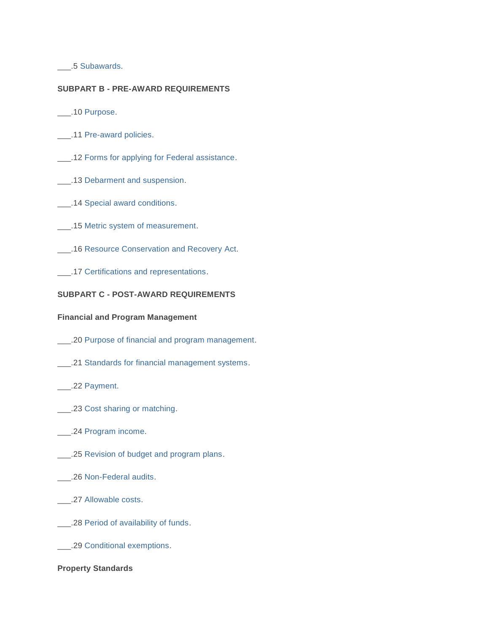\_\_\_.5 [Subawards.](#page-9-2)

#### <span id="page-2-0"></span>**SUBPART B - PRE-AWARD REQUIREMENTS**

- \_\_\_.10 [Purpose.](#page-10-0)
- \_\_\_.11 [Pre-award policies.](#page-10-1)
- \_\_\_.12 [Forms for applying for Federal assistance.](#page-10-2)
- \_\_\_.13 [Debarment and suspension.](#page-11-0)
- \_\_\_.14 [Special award conditions.](#page-11-1)
- \_\_\_.15 [Metric system of measurement.](#page-11-2)
- \_\_\_.16 [Resource Conservation and Recovery](#page-11-3) Act.
- \_\_\_.17 [Certifications and representations.](#page-11-4)

# <span id="page-2-1"></span>**SUBPART C - POST-AWARD REQUIREMENTS**

# **Financial and Program Management**

- \_\_\_.20 [Purpose of financial and program management.](#page-12-0)
- \_\_\_.21 [Standards for financial management systems.](#page-12-1)
- \_\_\_.22 [Payment.](#page-13-0)
- \_\_\_.23 [Cost sharing or matching.](#page-16-0)
- \_\_\_.24 [Program income.](#page-19-0)
- \_\_\_.25 [Revision of budget and program plans.](#page-21-0)
- \_\_\_.26 [Non-Federal audits.](#page-25-0)
- \_\_\_.27 [Allowable costs.](#page-25-1)
- \_\_\_.28 [Period of availability of funds.](#page-26-0)
- \_\_\_.29 [Conditional exemptions.](#page-26-1)

# <span id="page-2-2"></span>**Property Standards**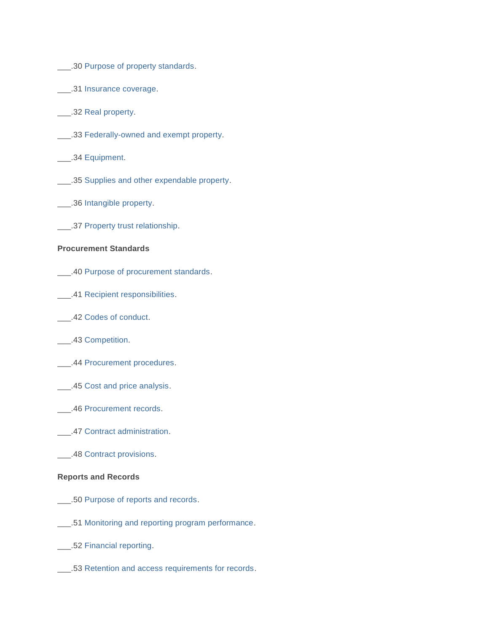\_\_\_.30 [Purpose of property standards.](#page-27-0)

- \_\_\_.31 [Insurance coverage.](#page-27-1)
- \_\_\_.32 [Real property.](#page-27-2)
- \_\_\_.33 [Federally-owned and exempt property.](#page-28-0)
- \_\_\_\_.34 [Equipment.](#page-29-0)
- \_\_\_.35 [Supplies and other expendable property.](#page-33-0)
- \_\_\_.36 [Intangible property.](#page-33-1)
- \_\_\_.37 [Property trust relationship.](#page-35-0)

## <span id="page-3-0"></span>**Procurement Standards**

- \_\_\_.40 [Purpose of procurement standards.](#page-36-0)
- \_\_\_.41 [Recipient responsibilities.](#page-36-1)
- \_\_\_.42 [Codes of conduct.](#page-36-2)
- \_\_\_.43 [Competition.](#page-36-3)
- \_\_\_.44 [Procurement procedures.](#page-37-0)
- \_\_\_.45 [Cost and price analysis.](#page-40-0)
- \_\_\_.46 [Procurement records.](#page-40-1)
- \_\_\_.47 [Contract administration.](#page-40-2)
- \_\_\_.48 [Contract provisions.](#page-40-3)

#### <span id="page-3-1"></span>**Reports and Records**

- \_\_\_.50 [Purpose of reports and records.](#page-42-0)
- \_\_\_.51 [Monitoring and reporting program performance.](#page-42-1)
- \_\_\_.52 [Financial reporting.](#page-43-0)
- \_\_\_.53 [Retention and access requirements for records.](#page-45-0)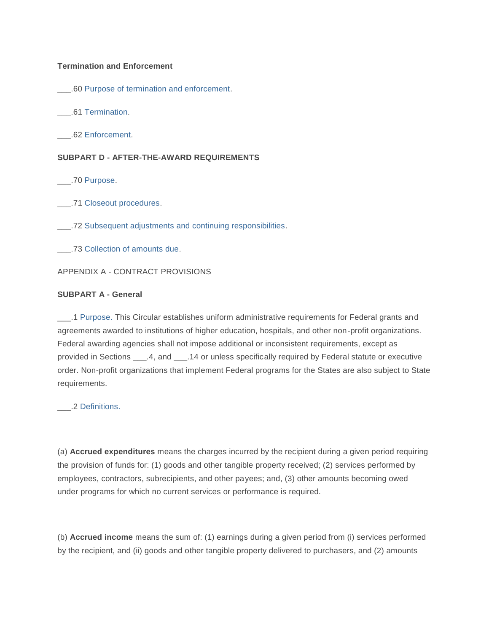### <span id="page-4-2"></span>**Termination and Enforcement**

\_\_\_.60 [Purpose of termination and enforcement.](#page-47-0)

\_\_\_.61 [Termination.](#page-47-1)

\_\_\_.62 [Enforcement.](#page-48-0)

# <span id="page-4-3"></span>**SUBPART D - AFTER-THE-AWARD REQUIREMENTS**

\_\_\_.70 [Purpose.](#page-49-0)

\_\_\_.71 [Closeout procedures.](#page-49-1)

\_\_\_.72 [Subsequent adjustments and continuing responsibilities.](#page-49-2)

\_\_\_.73 [Collection of amounts due.](#page-50-0)

#### APPENDIX A - CONTRACT PROVISIONS

# **SUBPART A - General**

<span id="page-4-0"></span>\_\_\_.1 [Purpose.](#page-1-0) This Circular establishes uniform administrative requirements for Federal grants and agreements awarded to institutions of higher education, hospitals, and other non-profit organizations. Federal awarding agencies shall not impose additional or inconsistent requirements, except as provided in Sections \_\_\_.4, and \_\_\_.14 or unless specifically required by Federal statute or executive order. Non-profit organizations that implement Federal programs for the States are also subject to State requirements.

<span id="page-4-1"></span>\_\_\_.2 [Definitions.](#page-1-0)

(a) **Accrued expenditures** means the charges incurred by the recipient during a given period requiring the provision of funds for: (1) goods and other tangible property received; (2) services performed by employees, contractors, subrecipients, and other payees; and, (3) other amounts becoming owed under programs for which no current services or performance is required.

(b) **Accrued income** means the sum of: (1) earnings during a given period from (i) services performed by the recipient, and (ii) goods and other tangible property delivered to purchasers, and (2) amounts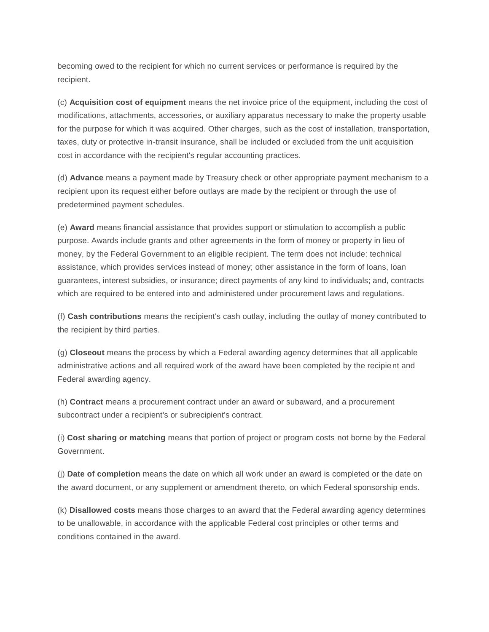becoming owed to the recipient for which no current services or performance is required by the recipient.

(c) **Acquisition cost of equipment** means the net invoice price of the equipment, including the cost of modifications, attachments, accessories, or auxiliary apparatus necessary to make the property usable for the purpose for which it was acquired. Other charges, such as the cost of installation, transportation, taxes, duty or protective in-transit insurance, shall be included or excluded from the unit acquisition cost in accordance with the recipient's regular accounting practices.

(d) **Advance** means a payment made by Treasury check or other appropriate payment mechanism to a recipient upon its request either before outlays are made by the recipient or through the use of predetermined payment schedules.

(e) **Award** means financial assistance that provides support or stimulation to accomplish a public purpose. Awards include grants and other agreements in the form of money or property in lieu of money, by the Federal Government to an eligible recipient. The term does not include: technical assistance, which provides services instead of money; other assistance in the form of loans, loan guarantees, interest subsidies, or insurance; direct payments of any kind to individuals; and, contracts which are required to be entered into and administered under procurement laws and regulations.

(f) **Cash contributions** means the recipient's cash outlay, including the outlay of money contributed to the recipient by third parties.

(g) **Closeout** means the process by which a Federal awarding agency determines that all applicable administrative actions and all required work of the award have been completed by the recipient and Federal awarding agency.

(h) **Contract** means a procurement contract under an award or subaward, and a procurement subcontract under a recipient's or subrecipient's contract.

(i) **Cost sharing or matching** means that portion of project or program costs not borne by the Federal Government.

(j) **Date of completion** means the date on which all work under an award is completed or the date on the award document, or any supplement or amendment thereto, on which Federal sponsorship ends.

(k) **Disallowed costs** means those charges to an award that the Federal awarding agency determines to be unallowable, in accordance with the applicable Federal cost principles or other terms and conditions contained in the award.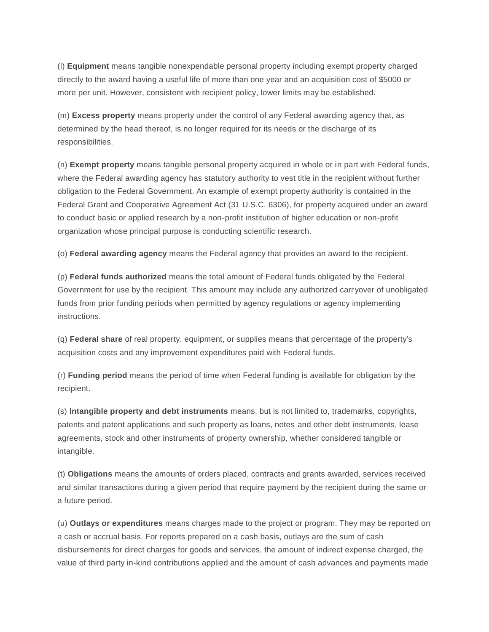(l) **Equipment** means tangible nonexpendable personal property including exempt property charged directly to the award having a useful life of more than one year and an acquisition cost of \$5000 or more per unit. However, consistent with recipient policy, lower limits may be established.

(m) **Excess property** means property under the control of any Federal awarding agency that, as determined by the head thereof, is no longer required for its needs or the discharge of its responsibilities.

(n) **Exempt property** means tangible personal property acquired in whole or in part with Federal funds, where the Federal awarding agency has statutory authority to vest title in the recipient without further obligation to the Federal Government. An example of exempt property authority is contained in the Federal Grant and Cooperative Agreement Act (31 U.S.C. 6306), for property acquired under an award to conduct basic or applied research by a non-profit institution of higher education or non-profit organization whose principal purpose is conducting scientific research.

(o) **Federal awarding agency** means the Federal agency that provides an award to the recipient.

(p) **Federal funds authorized** means the total amount of Federal funds obligated by the Federal Government for use by the recipient. This amount may include any authorized carryover of unobligated funds from prior funding periods when permitted by agency regulations or agency implementing instructions.

(q) **Federal share** of real property, equipment, or supplies means that percentage of the property's acquisition costs and any improvement expenditures paid with Federal funds.

(r) **Funding period** means the period of time when Federal funding is available for obligation by the recipient.

(s) **Intangible property and debt instruments** means, but is not limited to, trademarks, copyrights, patents and patent applications and such property as loans, notes and other debt instruments, lease agreements, stock and other instruments of property ownership, whether considered tangible or intangible.

(t) **Obligations** means the amounts of orders placed, contracts and grants awarded, services received and similar transactions during a given period that require payment by the recipient during the same or a future period.

(u) **Outlays or expenditures** means charges made to the project or program. They may be reported on a cash or accrual basis. For reports prepared on a cash basis, outlays are the sum of cash disbursements for direct charges for goods and services, the amount of indirect expense charged, the value of third party in-kind contributions applied and the amount of cash advances and payments made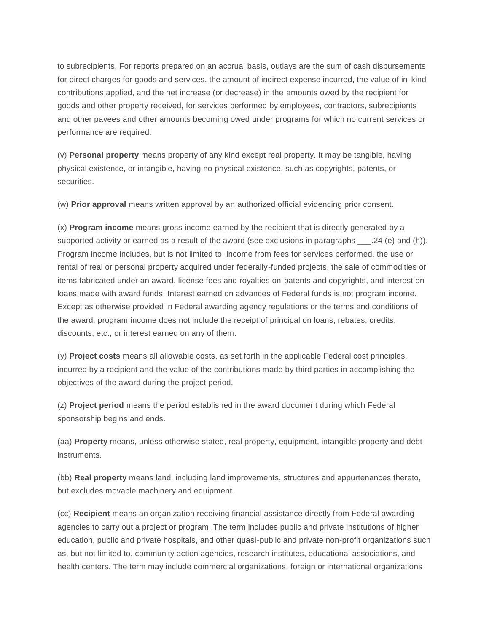to subrecipients. For reports prepared on an accrual basis, outlays are the sum of cash disbursements for direct charges for goods and services, the amount of indirect expense incurred, the value of in-kind contributions applied, and the net increase (or decrease) in the amounts owed by the recipient for goods and other property received, for services performed by employees, contractors, subrecipients and other payees and other amounts becoming owed under programs for which no current services or performance are required.

(v) **Personal property** means property of any kind except real property. It may be tangible, having physical existence, or intangible, having no physical existence, such as copyrights, patents, or securities.

(w) **Prior approval** means written approval by an authorized official evidencing prior consent.

(x) **Program income** means gross income earned by the recipient that is directly generated by a supported activity or earned as a result of the award (see exclusions in paragraphs  $\_\_\_\_2(e)$  and (h)). Program income includes, but is not limited to, income from fees for services performed, the use or rental of real or personal property acquired under federally-funded projects, the sale of commodities or items fabricated under an award, license fees and royalties on patents and copyrights, and interest on loans made with award funds. Interest earned on advances of Federal funds is not program income. Except as otherwise provided in Federal awarding agency regulations or the terms and conditions of the award, program income does not include the receipt of principal on loans, rebates, credits, discounts, etc., or interest earned on any of them.

(y) **Project costs** means all allowable costs, as set forth in the applicable Federal cost principles, incurred by a recipient and the value of the contributions made by third parties in accomplishing the objectives of the award during the project period.

(z) **Project period** means the period established in the award document during which Federal sponsorship begins and ends.

(aa) **Property** means, unless otherwise stated, real property, equipment, intangible property and debt instruments.

(bb) **Real property** means land, including land improvements, structures and appurtenances thereto, but excludes movable machinery and equipment.

(cc) **Recipient** means an organization receiving financial assistance directly from Federal awarding agencies to carry out a project or program. The term includes public and private institutions of higher education, public and private hospitals, and other quasi-public and private non-profit organizations such as, but not limited to, community action agencies, research institutes, educational associations, and health centers. The term may include commercial organizations, foreign or international organizations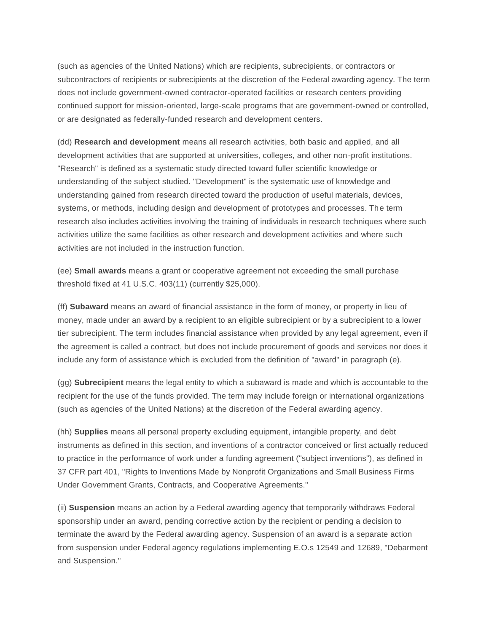(such as agencies of the United Nations) which are recipients, subrecipients, or contractors or subcontractors of recipients or subrecipients at the discretion of the Federal awarding agency. The term does not include government-owned contractor-operated facilities or research centers providing continued support for mission-oriented, large-scale programs that are government-owned or controlled, or are designated as federally-funded research and development centers.

(dd) **Research and development** means all research activities, both basic and applied, and all development activities that are supported at universities, colleges, and other non-profit institutions. "Research" is defined as a systematic study directed toward fuller scientific knowledge or understanding of the subject studied. "Development" is the systematic use of knowledge and understanding gained from research directed toward the production of useful materials, devices, systems, or methods, including design and development of prototypes and processes. The term research also includes activities involving the training of individuals in research techniques where such activities utilize the same facilities as other research and development activities and where such activities are not included in the instruction function.

(ee) **Small awards** means a grant or cooperative agreement not exceeding the small purchase threshold fixed at 41 U.S.C. 403(11) (currently \$25,000).

(ff) **Subaward** means an award of financial assistance in the form of money, or property in lieu of money, made under an award by a recipient to an eligible subrecipient or by a subrecipient to a lower tier subrecipient. The term includes financial assistance when provided by any legal agreement, even if the agreement is called a contract, but does not include procurement of goods and services nor does it include any form of assistance which is excluded from the definition of "award" in paragraph (e).

(gg) **Subrecipient** means the legal entity to which a subaward is made and which is accountable to the recipient for the use of the funds provided. The term may include foreign or international organizations (such as agencies of the United Nations) at the discretion of the Federal awarding agency.

(hh) **Supplies** means all personal property excluding equipment, intangible property, and debt instruments as defined in this section, and inventions of a contractor conceived or first actually reduced to practice in the performance of work under a funding agreement ("subject inventions"), as defined in 37 CFR part 401, "Rights to Inventions Made by Nonprofit Organizations and Small Business Firms Under Government Grants, Contracts, and Cooperative Agreements."

(ii) **Suspension** means an action by a Federal awarding agency that temporarily withdraws Federal sponsorship under an award, pending corrective action by the recipient or pending a decision to terminate the award by the Federal awarding agency. Suspension of an award is a separate action from suspension under Federal agency regulations implementing E.O.s 12549 and 12689, "Debarment and Suspension."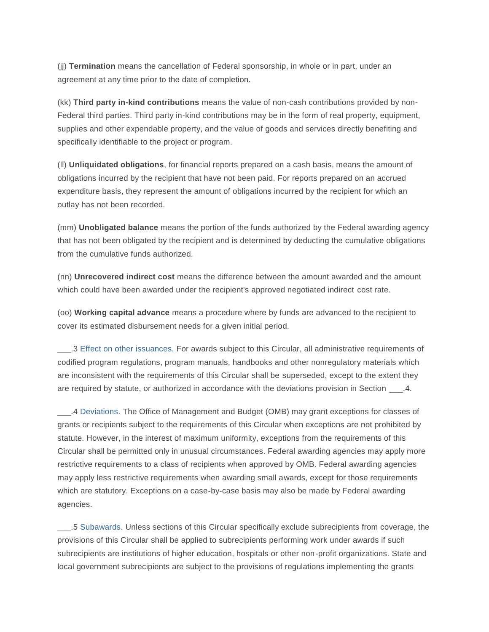(jj) **Termination** means the cancellation of Federal sponsorship, in whole or in part, under an agreement at any time prior to the date of completion.

(kk) **Third party in-kind contributions** means the value of non-cash contributions provided by non-Federal third parties. Third party in-kind contributions may be in the form of real property, equipment, supplies and other expendable property, and the value of goods and services directly benefiting and specifically identifiable to the project or program.

(ll) **Unliquidated obligations**, for financial reports prepared on a cash basis, means the amount of obligations incurred by the recipient that have not been paid. For reports prepared on an accrued expenditure basis, they represent the amount of obligations incurred by the recipient for which an outlay has not been recorded.

(mm) **Unobligated balance** means the portion of the funds authorized by the Federal awarding agency that has not been obligated by the recipient and is determined by deducting the cumulative obligations from the cumulative funds authorized.

(nn) **Unrecovered indirect cost** means the difference between the amount awarded and the amount which could have been awarded under the recipient's approved negotiated indirect cost rate.

(oo) **Working capital advance** means a procedure where by funds are advanced to the recipient to cover its estimated disbursement needs for a given initial period.

<span id="page-9-0"></span>\_\_\_.3 [Effect on other issuances.](#page-1-0) For awards subject to this Circular, all administrative requirements of codified program regulations, program manuals, handbooks and other nonregulatory materials which are inconsistent with the requirements of this Circular shall be superseded, except to the extent they are required by statute, or authorized in accordance with the deviations provision in Section \_\_\_.4.

<span id="page-9-1"></span>\_\_\_.4 [Deviations.](#page-1-0) The Office of Management and Budget (OMB) may grant exceptions for classes of grants or recipients subject to the requirements of this Circular when exceptions are not prohibited by statute. However, in the interest of maximum uniformity, exceptions from the requirements of this Circular shall be permitted only in unusual circumstances. Federal awarding agencies may apply more restrictive requirements to a class of recipients when approved by OMB. Federal awarding agencies may apply less restrictive requirements when awarding small awards, except for those requirements which are statutory. Exceptions on a case-by-case basis may also be made by Federal awarding agencies.

<span id="page-9-2"></span>\_\_\_.5 [Subawards.](#page-1-0) Unless sections of this Circular specifically exclude subrecipients from coverage, the provisions of this Circular shall be applied to subrecipients performing work under awards if such subrecipients are institutions of higher education, hospitals or other non-profit organizations. State and local government subrecipients are subject to the provisions of regulations implementing the grants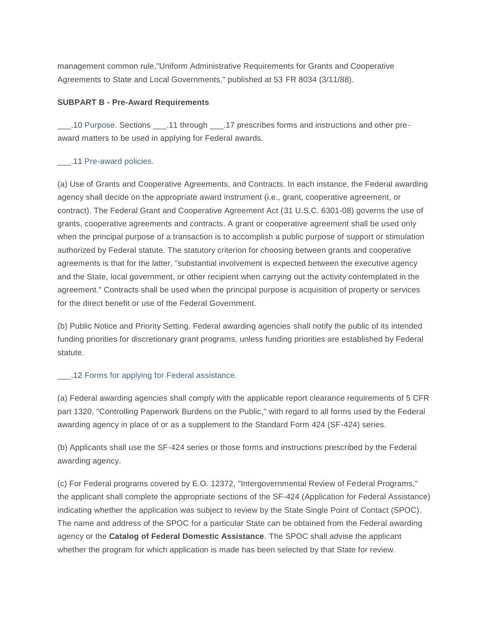management common rule,"Uniform Administrative Requirements for Grants and Cooperative Agreements to State and Local Governments," published at 53 FR 8034 (3/11/88).

# **SUBPART B - Pre-Award Requirements**

<span id="page-10-0"></span>\_\_\_.10 [Purpose.](#page-2-0) Sections \_\_\_.11 through \_\_\_.17 prescribes forms and instructions and other preaward matters to be used in applying for Federal awards.

# <span id="page-10-1"></span>\_\_\_.11 [Pre-award policies.](#page-2-0)

(a) Use of Grants and Cooperative Agreements, and Contracts. In each instance, the Federal awarding agency shall decide on the appropriate award instrument (i.e., grant, cooperative agreement, or contract). The Federal Grant and Cooperative Agreement Act (31 U.S.C. 6301-08) governs the use of grants, cooperative agreements and contracts. A grant or cooperative agreement shall be used only when the principal purpose of a transaction is to accomplish a public purpose of support or stimulation authorized by Federal statute. The statutory criterion for choosing between grants and cooperative agreements is that for the latter, "substantial involvement is expected between the executive agency and the State, local government, or other recipient when carrying out the activity contemplated in the agreement." Contracts shall be used when the principal purpose is acquisition of property or services for the direct benefit or use of the Federal Government.

(b) Public Notice and Priority Setting. Federal awarding agencies shall notify the public of its intended funding priorities for discretionary grant programs, unless funding priorities are established by Federal statute.

# <span id="page-10-2"></span>\_\_\_.12 [Forms for applying for](#page-2-0) Federal assistance.

(a) Federal awarding agencies shall comply with the applicable report clearance requirements of 5 CFR part 1320, "Controlling Paperwork Burdens on the Public," with regard to all forms used by the Federal awarding agency in place of or as a supplement to the Standard Form 424 (SF-424) series.

(b) Applicants shall use the SF-424 series or those forms and instructions prescribed by the Federal awarding agency.

(c) For Federal programs covered by E.O. 12372, "Intergovernmental Review of Federal Programs," the applicant shall complete the appropriate sections of the SF-424 (Application for Federal Assistance) indicating whether the application was subject to review by the State Single Point of Contact (SPOC). The name and address of the SPOC for a particular State can be obtained from the Federal awarding agency or the **Catalog of Federal Domestic Assistance**. The SPOC shall advise the applicant whether the program for which application is made has been selected by that State for review.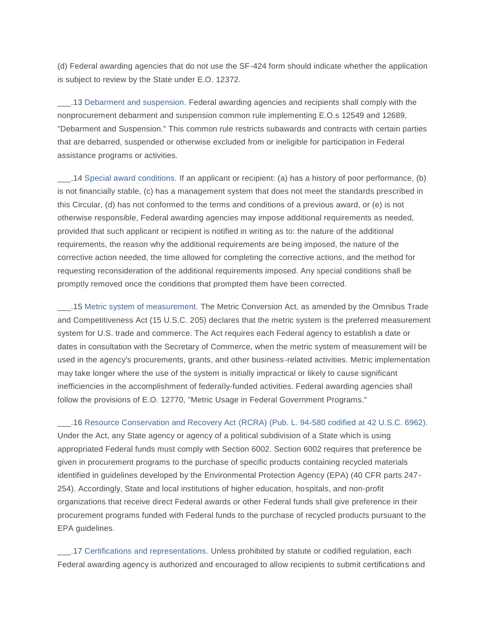(d) Federal awarding agencies that do not use the SF-424 form should indicate whether the application is subject to review by the State under E.O. 12372.

<span id="page-11-0"></span>\_\_\_.13 [Debarment and suspension.](#page-2-0) Federal awarding agencies and recipients shall comply with the nonprocurement debarment and suspension common rule implementing E.O.s 12549 and 12689, "Debarment and Suspension." This common rule restricts subawards and contracts with certain parties that are debarred, suspended or otherwise excluded from or ineligible for participation in Federal assistance programs or activities.

<span id="page-11-1"></span>\_\_\_.14 [Special award conditions.](#page-2-0) If an applicant or recipient: (a) has a history of poor performance, (b) is not financially stable, (c) has a management system that does not meet the standards prescribed in this Circular, (d) has not conformed to the terms and conditions of a previous award, or (e) is not otherwise responsible, Federal awarding agencies may impose additional requirements as needed, provided that such applicant or recipient is notified in writing as to: the nature of the additional requirements, the reason why the additional requirements are being imposed, the nature of the corrective action needed, the time allowed for completing the corrective actions, and the method for requesting reconsideration of the additional requirements imposed. Any special conditions shall be promptly removed once the conditions that prompted them have been corrected.

<span id="page-11-2"></span>\_\_\_.15 [Metric system of measurement.](#page-2-0) The Metric Conversion Act, as amended by the Omnibus Trade and Competitiveness Act (15 U.S.C. 205) declares that the metric system is the preferred measurement system for U.S. trade and commerce. The Act requires each Federal agency to establish a date or dates in consultation with the Secretary of Commerce, when the metric system of measurement will be used in the agency's procurements, grants, and other business-related activities. Metric implementation may take longer where the use of the system is initially impractical or likely to cause significant inefficiencies in the accomplishment of federally-funded activities. Federal awarding agencies shall follow the provisions of E.O. 12770, "Metric Usage in Federal Government Programs."

<span id="page-11-3"></span>\_\_\_.16 [Resource Conservation and Recovery Act \(RCRA\) \(Pub. L. 94-580 codified at 42 U.S.C. 6962\).](#page-2-0) Under the Act, any State agency or agency of a political subdivision of a State which is using appropriated Federal funds must comply with Section 6002. Section 6002 requires that preference be given in procurement programs to the purchase of specific products containing recycled materials identified in guidelines developed by the Environmental Protection Agency (EPA) (40 CFR parts 247- 254). Accordingly, State and local institutions of higher education, hospitals, and non-profit organizations that receive direct Federal awards or other Federal funds shall give preference in their procurement programs funded with Federal funds to the purchase of recycled products pursuant to the EPA guidelines.

<span id="page-11-4"></span>\_\_\_.17 [Certifications and representations.](#page-2-0) Unless prohibited by statute or codified regulation, each Federal awarding agency is authorized and encouraged to allow recipients to submit certifications and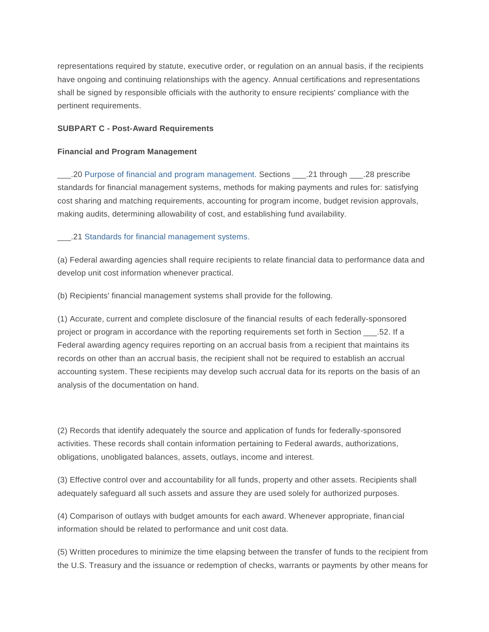representations required by statute, executive order, or regulation on an annual basis, if the recipients have ongoing and continuing relationships with the agency. Annual certifications and representations shall be signed by responsible officials with the authority to ensure recipients' compliance with the pertinent requirements.

#### **SUBPART C - Post-Award Requirements**

## **Financial and Program Management**

<span id="page-12-0"></span>\_\_\_.20 [Purpose of financial and program management.](#page-2-1) Sections \_\_\_.21 through \_\_\_.28 prescribe standards for financial management systems, methods for making payments and rules for: satisfying cost sharing and matching requirements, accounting for program income, budget revision approvals, making audits, determining allowability of cost, and establishing fund availability.

# <span id="page-12-1"></span>\_\_\_.21 [Standards for financial management systems.](#page-2-1)

(a) Federal awarding agencies shall require recipients to relate financial data to performance data and develop unit cost information whenever practical.

(b) Recipients' financial management systems shall provide for the following.

(1) Accurate, current and complete disclosure of the financial results of each federally-sponsored project or program in accordance with the reporting requirements set forth in Section \_\_\_.52. If a Federal awarding agency requires reporting on an accrual basis from a recipient that maintains its records on other than an accrual basis, the recipient shall not be required to establish an accrual accounting system. These recipients may develop such accrual data for its reports on the basis of an analysis of the documentation on hand.

(2) Records that identify adequately the source and application of funds for federally-sponsored activities. These records shall contain information pertaining to Federal awards, authorizations, obligations, unobligated balances, assets, outlays, income and interest.

(3) Effective control over and accountability for all funds, property and other assets. Recipients shall adequately safeguard all such assets and assure they are used solely for authorized purposes.

(4) Comparison of outlays with budget amounts for each award. Whenever appropriate, financial information should be related to performance and unit cost data.

(5) Written procedures to minimize the time elapsing between the transfer of funds to the recipient from the U.S. Treasury and the issuance or redemption of checks, warrants or payments by other means for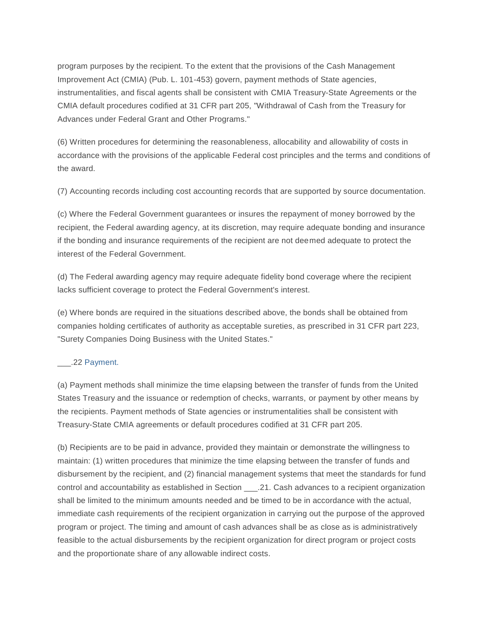program purposes by the recipient. To the extent that the provisions of the Cash Management Improvement Act (CMIA) (Pub. L. 101-453) govern, payment methods of State agencies, instrumentalities, and fiscal agents shall be consistent with CMIA Treasury-State Agreements or the CMIA default procedures codified at 31 CFR part 205, "Withdrawal of Cash from the Treasury for Advances under Federal Grant and Other Programs."

(6) Written procedures for determining the reasonableness, allocability and allowability of costs in accordance with the provisions of the applicable Federal cost principles and the terms and conditions of the award.

(7) Accounting records including cost accounting records that are supported by source documentation.

(c) Where the Federal Government guarantees or insures the repayment of money borrowed by the recipient, the Federal awarding agency, at its discretion, may require adequate bonding and insurance if the bonding and insurance requirements of the recipient are not deemed adequate to protect the interest of the Federal Government.

(d) The Federal awarding agency may require adequate fidelity bond coverage where the recipient lacks sufficient coverage to protect the Federal Government's interest.

(e) Where bonds are required in the situations described above, the bonds shall be obtained from companies holding certificates of authority as acceptable sureties, as prescribed in 31 CFR part 223, "Surety Companies Doing Business with the United States."

#### <span id="page-13-0"></span>\_\_\_.22 [Payment.](#page-2-1)

(a) Payment methods shall minimize the time elapsing between the transfer of funds from the United States Treasury and the issuance or redemption of checks, warrants, or payment by other means by the recipients. Payment methods of State agencies or instrumentalities shall be consistent with Treasury-State CMIA agreements or default procedures codified at 31 CFR part 205.

(b) Recipients are to be paid in advance, provided they maintain or demonstrate the willingness to maintain: (1) written procedures that minimize the time elapsing between the transfer of funds and disbursement by the recipient, and (2) financial management systems that meet the standards for fund control and accountability as established in Section \_\_\_.21. Cash advances to a recipient organization shall be limited to the minimum amounts needed and be timed to be in accordance with the actual, immediate cash requirements of the recipient organization in carrying out the purpose of the approved program or project. The timing and amount of cash advances shall be as close as is administratively feasible to the actual disbursements by the recipient organization for direct program or project costs and the proportionate share of any allowable indirect costs.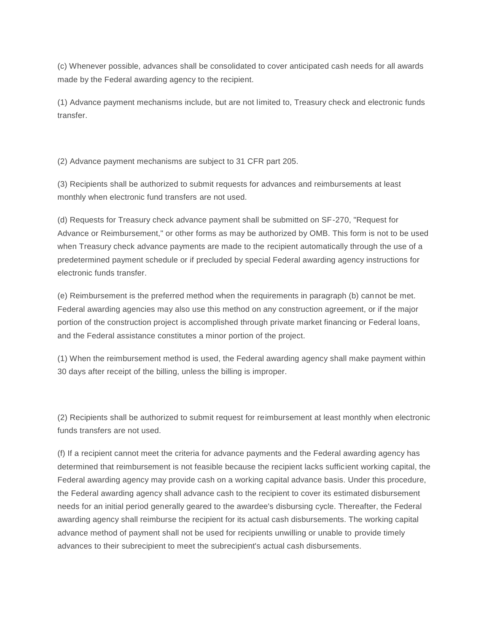(c) Whenever possible, advances shall be consolidated to cover anticipated cash needs for all awards made by the Federal awarding agency to the recipient.

(1) Advance payment mechanisms include, but are not limited to, Treasury check and electronic funds transfer.

(2) Advance payment mechanisms are subject to 31 CFR part 205.

(3) Recipients shall be authorized to submit requests for advances and reimbursements at least monthly when electronic fund transfers are not used.

(d) Requests for Treasury check advance payment shall be submitted on SF-270, "Request for Advance or Reimbursement," or other forms as may be authorized by OMB. This form is not to be used when Treasury check advance payments are made to the recipient automatically through the use of a predetermined payment schedule or if precluded by special Federal awarding agency instructions for electronic funds transfer.

(e) Reimbursement is the preferred method when the requirements in paragraph (b) cannot be met. Federal awarding agencies may also use this method on any construction agreement, or if the major portion of the construction project is accomplished through private market financing or Federal loans, and the Federal assistance constitutes a minor portion of the project.

(1) When the reimbursement method is used, the Federal awarding agency shall make payment within 30 days after receipt of the billing, unless the billing is improper.

(2) Recipients shall be authorized to submit request for reimbursement at least monthly when electronic funds transfers are not used.

(f) If a recipient cannot meet the criteria for advance payments and the Federal awarding agency has determined that reimbursement is not feasible because the recipient lacks sufficient working capital, the Federal awarding agency may provide cash on a working capital advance basis. Under this procedure, the Federal awarding agency shall advance cash to the recipient to cover its estimated disbursement needs for an initial period generally geared to the awardee's disbursing cycle. Thereafter, the Federal awarding agency shall reimburse the recipient for its actual cash disbursements. The working capital advance method of payment shall not be used for recipients unwilling or unable to provide timely advances to their subrecipient to meet the subrecipient's actual cash disbursements.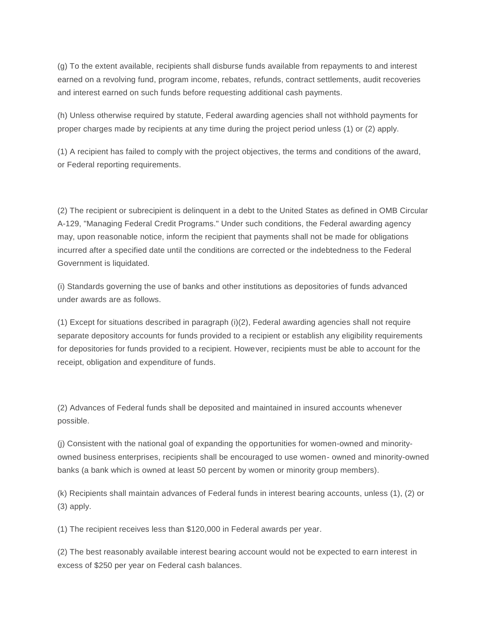(g) To the extent available, recipients shall disburse funds available from repayments to and interest earned on a revolving fund, program income, rebates, refunds, contract settlements, audit recoveries and interest earned on such funds before requesting additional cash payments.

(h) Unless otherwise required by statute, Federal awarding agencies shall not withhold payments for proper charges made by recipients at any time during the project period unless (1) or (2) apply.

(1) A recipient has failed to comply with the project objectives, the terms and conditions of the award, or Federal reporting requirements.

(2) The recipient or subrecipient is delinquent in a debt to the United States as defined in OMB Circular A-129, "Managing Federal Credit Programs." Under such conditions, the Federal awarding agency may, upon reasonable notice, inform the recipient that payments shall not be made for obligations incurred after a specified date until the conditions are corrected or the indebtedness to the Federal Government is liquidated.

(i) Standards governing the use of banks and other institutions as depositories of funds advanced under awards are as follows.

(1) Except for situations described in paragraph (i)(2), Federal awarding agencies shall not require separate depository accounts for funds provided to a recipient or establish any eligibility requirements for depositories for funds provided to a recipient. However, recipients must be able to account for the receipt, obligation and expenditure of funds.

(2) Advances of Federal funds shall be deposited and maintained in insured accounts whenever possible.

(j) Consistent with the national goal of expanding the opportunities for women-owned and minorityowned business enterprises, recipients shall be encouraged to use women- owned and minority-owned banks (a bank which is owned at least 50 percent by women or minority group members).

(k) Recipients shall maintain advances of Federal funds in interest bearing accounts, unless (1), (2) or (3) apply.

(1) The recipient receives less than \$120,000 in Federal awards per year.

(2) The best reasonably available interest bearing account would not be expected to earn interest in excess of \$250 per year on Federal cash balances.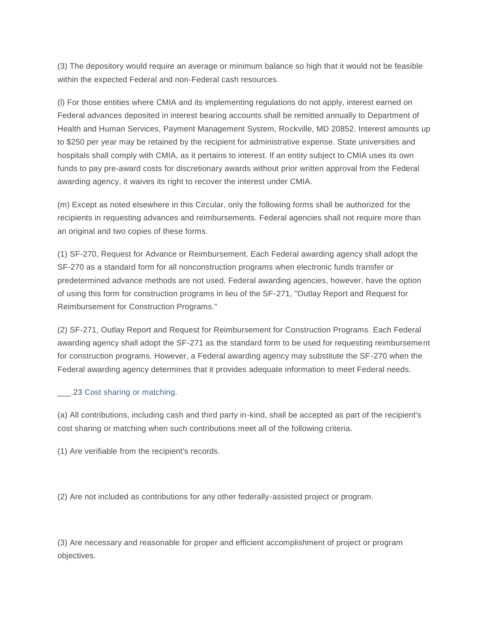(3) The depository would require an average or minimum balance so high that it would not be feasible within the expected Federal and non-Federal cash resources.

(l) For those entities where CMIA and its implementing regulations do not apply, interest earned on Federal advances deposited in interest bearing accounts shall be remitted annually to Department of Health and Human Services, Payment Management System, Rockville, MD 20852. Interest amounts up to \$250 per year may be retained by the recipient for administrative expense. State universities and hospitals shall comply with CMIA, as it pertains to interest. If an entity subject to CMIA uses its own funds to pay pre-award costs for discretionary awards without prior written approval from the Federal awarding agency, it waives its right to recover the interest under CMIA.

(m) Except as noted elsewhere in this Circular, only the following forms shall be authorized for the recipients in requesting advances and reimbursements. Federal agencies shall not require more than an original and two copies of these forms.

(1) SF-270, Request for Advance or Reimbursement. Each Federal awarding agency shall adopt the SF-270 as a standard form for all nonconstruction programs when electronic funds transfer or predetermined advance methods are not used. Federal awarding agencies, however, have the option of using this form for construction programs in lieu of the SF-271, "Outlay Report and Request for Reimbursement for Construction Programs."

(2) SF-271, Outlay Report and Request for Reimbursement for Construction Programs. Each Federal awarding agency shall adopt the SF-271 as the standard form to be used for requesting reimbursement for construction programs. However, a Federal awarding agency may substitute the SF-270 when the Federal awarding agency determines that it provides adequate information to meet Federal needs.

# <span id="page-16-0"></span>\_\_\_.23 [Cost sharing or matching.](#page-2-1)

(a) All contributions, including cash and third party in-kind, shall be accepted as part of the recipient's cost sharing or matching when such contributions meet all of the following criteria.

(1) Are verifiable from the recipient's records.

(2) Are not included as contributions for any other federally-assisted project or program.

(3) Are necessary and reasonable for proper and efficient accomplishment of project or program objectives.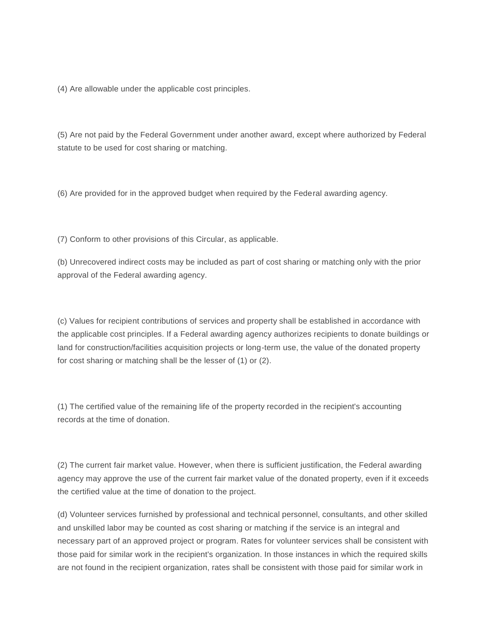(4) Are allowable under the applicable cost principles.

(5) Are not paid by the Federal Government under another award, except where authorized by Federal statute to be used for cost sharing or matching.

(6) Are provided for in the approved budget when required by the Federal awarding agency.

(7) Conform to other provisions of this Circular, as applicable.

(b) Unrecovered indirect costs may be included as part of cost sharing or matching only with the prior approval of the Federal awarding agency.

(c) Values for recipient contributions of services and property shall be established in accordance with the applicable cost principles. If a Federal awarding agency authorizes recipients to donate buildings or land for construction/facilities acquisition projects or long-term use, the value of the donated property for cost sharing or matching shall be the lesser of (1) or (2).

(1) The certified value of the remaining life of the property recorded in the recipient's accounting records at the time of donation.

(2) The current fair market value. However, when there is sufficient justification, the Federal awarding agency may approve the use of the current fair market value of the donated property, even if it exceeds the certified value at the time of donation to the project.

(d) Volunteer services furnished by professional and technical personnel, consultants, and other skilled and unskilled labor may be counted as cost sharing or matching if the service is an integral and necessary part of an approved project or program. Rates for volunteer services shall be consistent with those paid for similar work in the recipient's organization. In those instances in which the required skills are not found in the recipient organization, rates shall be consistent with those paid for similar work in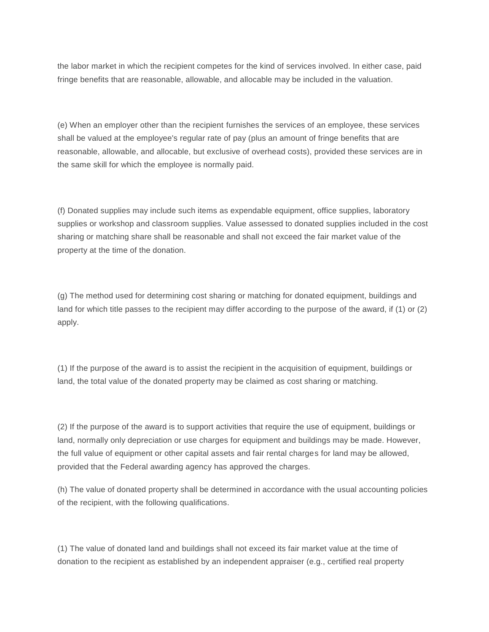the labor market in which the recipient competes for the kind of services involved. In either case, paid fringe benefits that are reasonable, allowable, and allocable may be included in the valuation.

(e) When an employer other than the recipient furnishes the services of an employee, these services shall be valued at the employee's regular rate of pay (plus an amount of fringe benefits that are reasonable, allowable, and allocable, but exclusive of overhead costs), provided these services are in the same skill for which the employee is normally paid.

(f) Donated supplies may include such items as expendable equipment, office supplies, laboratory supplies or workshop and classroom supplies. Value assessed to donated supplies included in the cost sharing or matching share shall be reasonable and shall not exceed the fair market value of the property at the time of the donation.

(g) The method used for determining cost sharing or matching for donated equipment, buildings and land for which title passes to the recipient may differ according to the purpose of the award, if (1) or (2) apply.

(1) If the purpose of the award is to assist the recipient in the acquisition of equipment, buildings or land, the total value of the donated property may be claimed as cost sharing or matching.

(2) If the purpose of the award is to support activities that require the use of equipment, buildings or land, normally only depreciation or use charges for equipment and buildings may be made. However, the full value of equipment or other capital assets and fair rental charges for land may be allowed, provided that the Federal awarding agency has approved the charges.

(h) The value of donated property shall be determined in accordance with the usual accounting policies of the recipient, with the following qualifications.

(1) The value of donated land and buildings shall not exceed its fair market value at the time of donation to the recipient as established by an independent appraiser (e.g., certified real property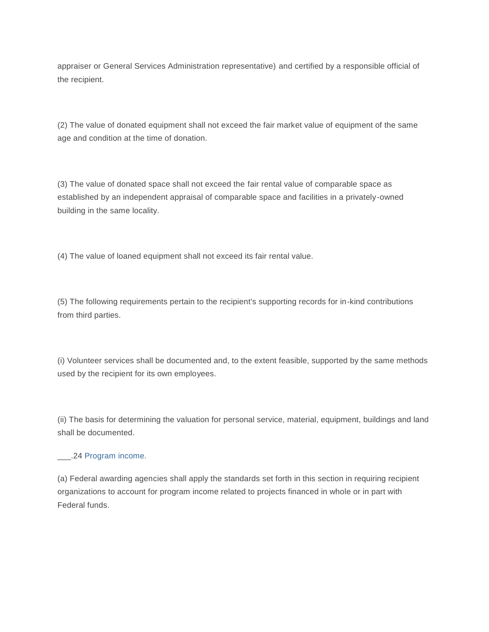appraiser or General Services Administration representative) and certified by a responsible official of the recipient.

(2) The value of donated equipment shall not exceed the fair market value of equipment of the same age and condition at the time of donation.

(3) The value of donated space shall not exceed the fair rental value of comparable space as established by an independent appraisal of comparable space and facilities in a privately-owned building in the same locality.

(4) The value of loaned equipment shall not exceed its fair rental value.

(5) The following requirements pertain to the recipient's supporting records for in-kind contributions from third parties.

(i) Volunteer services shall be documented and, to the extent feasible, supported by the same methods used by the recipient for its own employees.

(ii) The basis for determining the valuation for personal service, material, equipment, buildings and land shall be documented.

<span id="page-19-0"></span>\_\_\_.24 [Program income.](#page-2-1)

(a) Federal awarding agencies shall apply the standards set forth in this section in requiring recipient organizations to account for program income related to projects financed in whole or in part with Federal funds.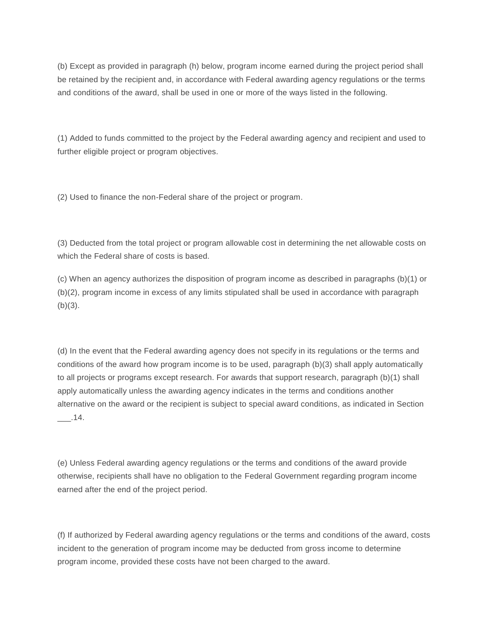(b) Except as provided in paragraph (h) below, program income earned during the project period shall be retained by the recipient and, in accordance with Federal awarding agency regulations or the terms and conditions of the award, shall be used in one or more of the ways listed in the following.

(1) Added to funds committed to the project by the Federal awarding agency and recipient and used to further eligible project or program objectives.

(2) Used to finance the non-Federal share of the project or program.

(3) Deducted from the total project or program allowable cost in determining the net allowable costs on which the Federal share of costs is based.

(c) When an agency authorizes the disposition of program income as described in paragraphs (b)(1) or (b)(2), program income in excess of any limits stipulated shall be used in accordance with paragraph  $(b)(3)$ .

(d) In the event that the Federal awarding agency does not specify in its regulations or the terms and conditions of the award how program income is to be used, paragraph (b)(3) shall apply automatically to all projects or programs except research. For awards that support research, paragraph (b)(1) shall apply automatically unless the awarding agency indicates in the terms and conditions another alternative on the award or the recipient is subject to special award conditions, as indicated in Section  $\overline{\phantom{0}}$ .14.

(e) Unless Federal awarding agency regulations or the terms and conditions of the award provide otherwise, recipients shall have no obligation to the Federal Government regarding program income earned after the end of the project period.

(f) If authorized by Federal awarding agency regulations or the terms and conditions of the award, costs incident to the generation of program income may be deducted from gross income to determine program income, provided these costs have not been charged to the award.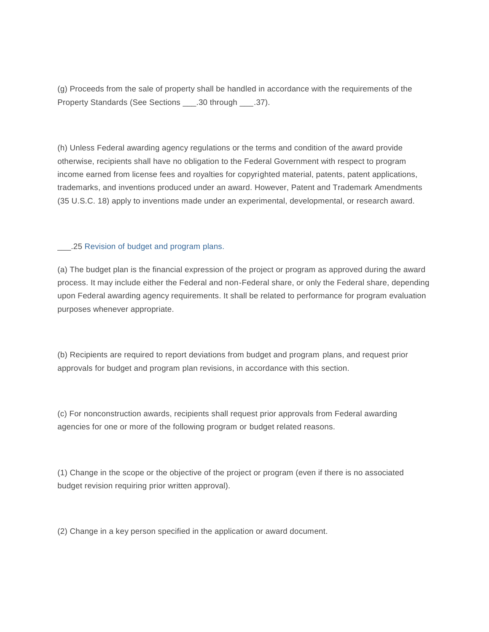(g) Proceeds from the sale of property shall be handled in accordance with the requirements of the Property Standards (See Sections \_\_\_.30 through \_\_\_.37).

(h) Unless Federal awarding agency regulations or the terms and condition of the award provide otherwise, recipients shall have no obligation to the Federal Government with respect to program income earned from license fees and royalties for copyrighted material, patents, patent applications, trademarks, and inventions produced under an award. However, Patent and Trademark Amendments (35 U.S.C. 18) apply to inventions made under an experimental, developmental, or research award.

#### <span id="page-21-0"></span>\_\_\_.25 [Revision of budget and program plans.](#page-2-1)

(a) The budget plan is the financial expression of the project or program as approved during the award process. It may include either the Federal and non-Federal share, or only the Federal share, depending upon Federal awarding agency requirements. It shall be related to performance for program evaluation purposes whenever appropriate.

(b) Recipients are required to report deviations from budget and program plans, and request prior approvals for budget and program plan revisions, in accordance with this section.

(c) For nonconstruction awards, recipients shall request prior approvals from Federal awarding agencies for one or more of the following program or budget related reasons.

(1) Change in the scope or the objective of the project or program (even if there is no associated budget revision requiring prior written approval).

(2) Change in a key person specified in the application or award document.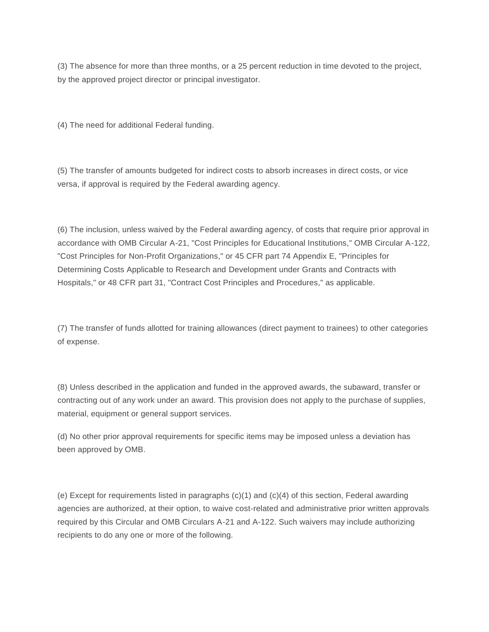(3) The absence for more than three months, or a 25 percent reduction in time devoted to the project, by the approved project director or principal investigator.

(4) The need for additional Federal funding.

(5) The transfer of amounts budgeted for indirect costs to absorb increases in direct costs, or vice versa, if approval is required by the Federal awarding agency.

(6) The inclusion, unless waived by the Federal awarding agency, of costs that require prior approval in accordance with OMB Circular A-21, "Cost Principles for Educational Institutions," OMB Circular A-122, "Cost Principles for Non-Profit Organizations," or 45 CFR part 74 Appendix E, "Principles for Determining Costs Applicable to Research and Development under Grants and Contracts with Hospitals," or 48 CFR part 31, "Contract Cost Principles and Procedures," as applicable.

(7) The transfer of funds allotted for training allowances (direct payment to trainees) to other categories of expense.

(8) Unless described in the application and funded in the approved awards, the subaward, transfer or contracting out of any work under an award. This provision does not apply to the purchase of supplies, material, equipment or general support services.

(d) No other prior approval requirements for specific items may be imposed unless a deviation has been approved by OMB.

(e) Except for requirements listed in paragraphs (c)(1) and (c)(4) of this section, Federal awarding agencies are authorized, at their option, to waive cost-related and administrative prior written approvals required by this Circular and OMB Circulars A-21 and A-122. Such waivers may include authorizing recipients to do any one or more of the following.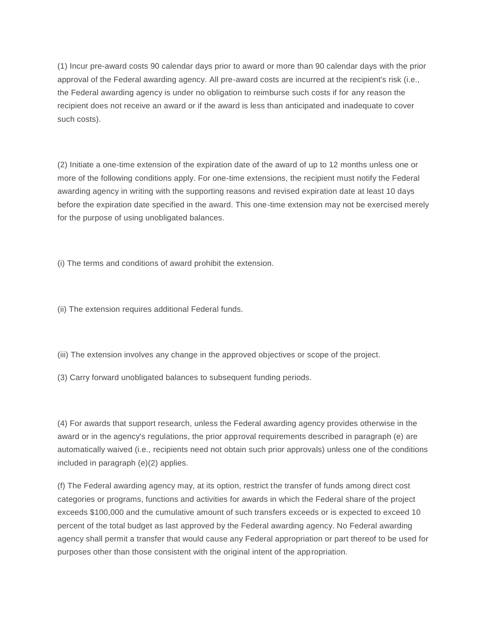(1) Incur pre-award costs 90 calendar days prior to award or more than 90 calendar days with the prior approval of the Federal awarding agency. All pre-award costs are incurred at the recipient's risk (i.e., the Federal awarding agency is under no obligation to reimburse such costs if for any reason the recipient does not receive an award or if the award is less than anticipated and inadequate to cover such costs).

(2) Initiate a one-time extension of the expiration date of the award of up to 12 months unless one or more of the following conditions apply. For one-time extensions, the recipient must notify the Federal awarding agency in writing with the supporting reasons and revised expiration date at least 10 days before the expiration date specified in the award. This one-time extension may not be exercised merely for the purpose of using unobligated balances.

(i) The terms and conditions of award prohibit the extension.

(ii) The extension requires additional Federal funds.

- (iii) The extension involves any change in the approved objectives or scope of the project.
- (3) Carry forward unobligated balances to subsequent funding periods.

(4) For awards that support research, unless the Federal awarding agency provides otherwise in the award or in the agency's regulations, the prior approval requirements described in paragraph (e) are automatically waived (i.e., recipients need not obtain such prior approvals) unless one of the conditions included in paragraph (e)(2) applies.

(f) The Federal awarding agency may, at its option, restrict the transfer of funds among direct cost categories or programs, functions and activities for awards in which the Federal share of the project exceeds \$100,000 and the cumulative amount of such transfers exceeds or is expected to exceed 10 percent of the total budget as last approved by the Federal awarding agency. No Federal awarding agency shall permit a transfer that would cause any Federal appropriation or part thereof to be used for purposes other than those consistent with the original intent of the appropriation.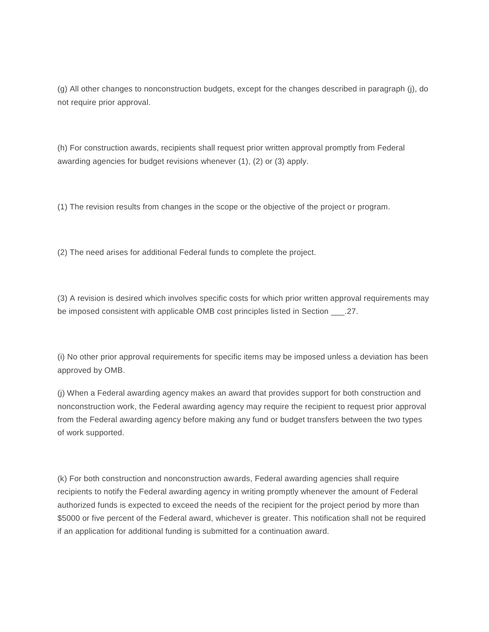(g) All other changes to nonconstruction budgets, except for the changes described in paragraph (j), do not require prior approval.

(h) For construction awards, recipients shall request prior written approval promptly from Federal awarding agencies for budget revisions whenever (1), (2) or (3) apply.

(1) The revision results from changes in the scope or the objective of the project or program.

(2) The need arises for additional Federal funds to complete the project.

(3) A revision is desired which involves specific costs for which prior written approval requirements may be imposed consistent with applicable OMB cost principles listed in Section \_\_\_.27.

(i) No other prior approval requirements for specific items may be imposed unless a deviation has been approved by OMB.

(j) When a Federal awarding agency makes an award that provides support for both construction and nonconstruction work, the Federal awarding agency may require the recipient to request prior approval from the Federal awarding agency before making any fund or budget transfers between the two types of work supported.

(k) For both construction and nonconstruction awards, Federal awarding agencies shall require recipients to notify the Federal awarding agency in writing promptly whenever the amount of Federal authorized funds is expected to exceed the needs of the recipient for the project period by more than \$5000 or five percent of the Federal award, whichever is greater. This notification shall not be required if an application for additional funding is submitted for a continuation award.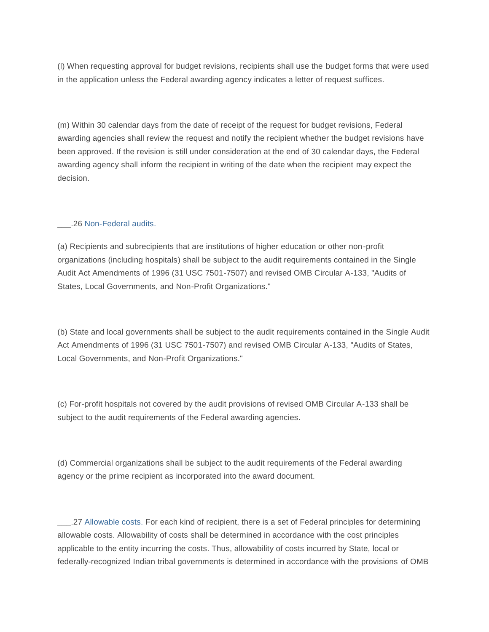(l) When requesting approval for budget revisions, recipients shall use the budget forms that were used in the application unless the Federal awarding agency indicates a letter of request suffices.

(m) Within 30 calendar days from the date of receipt of the request for budget revisions, Federal awarding agencies shall review the request and notify the recipient whether the budget revisions have been approved. If the revision is still under consideration at the end of 30 calendar days, the Federal awarding agency shall inform the recipient in writing of the date when the recipient may expect the decision.

# <span id="page-25-0"></span>\_\_\_.26 [Non-Federal audits.](#page-2-1)

(a) Recipients and subrecipients that are institutions of higher education or other non-profit organizations (including hospitals) shall be subject to the audit requirements contained in the Single Audit Act Amendments of 1996 (31 USC 7501-7507) and revised OMB Circular A-133, "Audits of States, Local Governments, and Non-Profit Organizations."

(b) State and local governments shall be subject to the audit requirements contained in the Single Audit Act Amendments of 1996 (31 USC 7501-7507) and revised OMB Circular A-133, "Audits of States, Local Governments, and Non-Profit Organizations."

(c) For-profit hospitals not covered by the audit provisions of revised OMB Circular A-133 shall be subject to the audit requirements of the Federal awarding agencies.

(d) Commercial organizations shall be subject to the audit requirements of the Federal awarding agency or the prime recipient as incorporated into the award document.

<span id="page-25-1"></span>\_\_\_.27 [Allowable costs.](#page-2-1) For each kind of recipient, there is a set of Federal principles for determining allowable costs. Allowability of costs shall be determined in accordance with the cost principles applicable to the entity incurring the costs. Thus, allowability of costs incurred by State, local or federally-recognized Indian tribal governments is determined in accordance with the provisions of OMB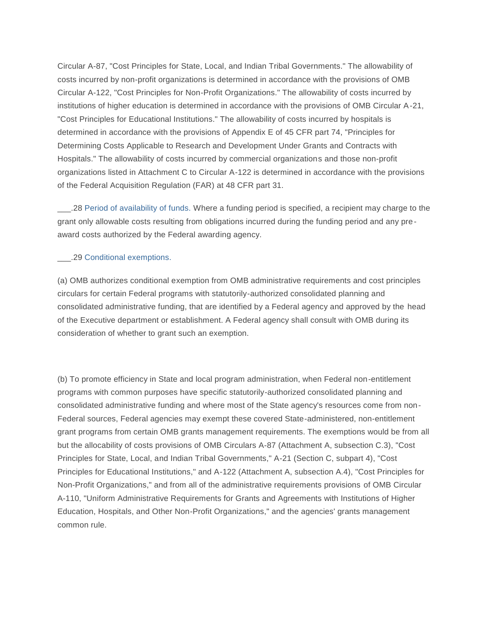Circular A-87, "Cost Principles for State, Local, and Indian Tribal Governments." The allowability of costs incurred by non-profit organizations is determined in accordance with the provisions of OMB Circular A-122, "Cost Principles for Non-Profit Organizations." The allowability of costs incurred by institutions of higher education is determined in accordance with the provisions of OMB Circular A-21, "Cost Principles for Educational Institutions." The allowability of costs incurred by hospitals is determined in accordance with the provisions of Appendix E of 45 CFR part 74, "Principles for Determining Costs Applicable to Research and Development Under Grants and Contracts with Hospitals." The allowability of costs incurred by commercial organizations and those non-profit organizations listed in Attachment C to Circular A-122 is determined in accordance with the provisions of the Federal Acquisition Regulation (FAR) at 48 CFR part 31.

<span id="page-26-0"></span>\_\_\_.28 [Period of availability of funds.](#page-2-1) Where a funding period is specified, a recipient may charge to the grant only allowable costs resulting from obligations incurred during the funding period and any preaward costs authorized by the Federal awarding agency.

#### <span id="page-26-1"></span>\_\_\_.29 [Conditional exemptions.](#page-2-1)

(a) OMB authorizes conditional exemption from OMB administrative requirements and cost principles circulars for certain Federal programs with statutorily-authorized consolidated planning and consolidated administrative funding, that are identified by a Federal agency and approved by the head of the Executive department or establishment. A Federal agency shall consult with OMB during its consideration of whether to grant such an exemption.

(b) To promote efficiency in State and local program administration, when Federal non-entitlement programs with common purposes have specific statutorily-authorized consolidated planning and consolidated administrative funding and where most of the State agency's resources come from non-Federal sources, Federal agencies may exempt these covered State-administered, non-entitlement grant programs from certain OMB grants management requirements. The exemptions would be from all but the allocability of costs provisions of OMB Circulars A-87 (Attachment A, subsection C.3), "Cost Principles for State, Local, and Indian Tribal Governments," A-21 (Section C, subpart 4), "Cost Principles for Educational Institutions," and A-122 (Attachment A, subsection A.4), "Cost Principles for Non-Profit Organizations," and from all of the administrative requirements provisions of OMB Circular A-110, "Uniform Administrative Requirements for Grants and Agreements with Institutions of Higher Education, Hospitals, and Other Non-Profit Organizations," and the agencies' grants management common rule.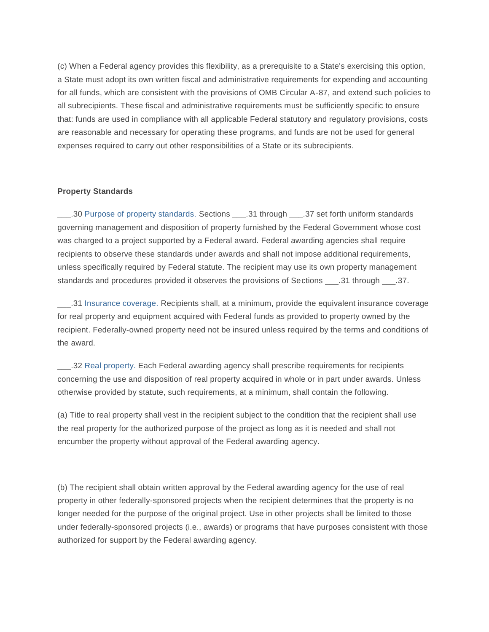(c) When a Federal agency provides this flexibility, as a prerequisite to a State's exercising this option, a State must adopt its own written fiscal and administrative requirements for expending and accounting for all funds, which are consistent with the provisions of OMB Circular A-87, and extend such policies to all subrecipients. These fiscal and administrative requirements must be sufficiently specific to ensure that: funds are used in compliance with all applicable Federal statutory and regulatory provisions, costs are reasonable and necessary for operating these programs, and funds are not be used for general expenses required to carry out other responsibilities of a State or its subrecipients.

#### **Property Standards**

<span id="page-27-0"></span>\_\_\_.30 [Purpose of property standards.](#page-2-2) Sections \_\_\_.31 through \_\_\_.37 set forth uniform standards governing management and disposition of property furnished by the Federal Government whose cost was charged to a project supported by a Federal award. Federal awarding agencies shall require recipients to observe these standards under awards and shall not impose additional requirements, unless specifically required by Federal statute. The recipient may use its own property management standards and procedures provided it observes the provisions of Sections \_\_\_.31 through \_\_\_.37.

<span id="page-27-1"></span>\_\_\_.31 [Insurance coverage.](#page-2-2) Recipients shall, at a minimum, provide the equivalent insurance coverage for real property and equipment acquired with Federal funds as provided to property owned by the recipient. Federally-owned property need not be insured unless required by the terms and conditions of the award.

<span id="page-27-2"></span>\_\_\_.32 [Real property.](#page-2-2) Each Federal awarding agency shall prescribe requirements for recipients concerning the use and disposition of real property acquired in whole or in part under awards. Unless otherwise provided by statute, such requirements, at a minimum, shall contain the following.

(a) Title to real property shall vest in the recipient subject to the condition that the recipient shall use the real property for the authorized purpose of the project as long as it is needed and shall not encumber the property without approval of the Federal awarding agency.

(b) The recipient shall obtain written approval by the Federal awarding agency for the use of real property in other federally-sponsored projects when the recipient determines that the property is no longer needed for the purpose of the original project. Use in other projects shall be limited to those under federally-sponsored projects (i.e., awards) or programs that have purposes consistent with those authorized for support by the Federal awarding agency.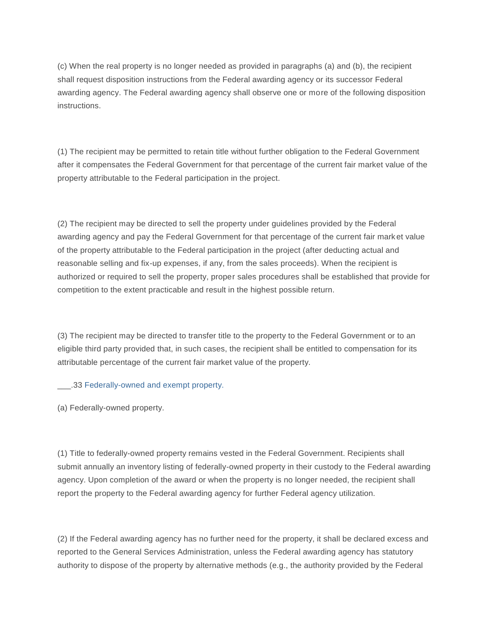(c) When the real property is no longer needed as provided in paragraphs (a) and (b), the recipient shall request disposition instructions from the Federal awarding agency or its successor Federal awarding agency. The Federal awarding agency shall observe one or more of the following disposition instructions.

(1) The recipient may be permitted to retain title without further obligation to the Federal Government after it compensates the Federal Government for that percentage of the current fair market value of the property attributable to the Federal participation in the project.

(2) The recipient may be directed to sell the property under guidelines provided by the Federal awarding agency and pay the Federal Government for that percentage of the current fair mark et value of the property attributable to the Federal participation in the project (after deducting actual and reasonable selling and fix-up expenses, if any, from the sales proceeds). When the recipient is authorized or required to sell the property, proper sales procedures shall be established that provide for competition to the extent practicable and result in the highest possible return.

(3) The recipient may be directed to transfer title to the property to the Federal Government or to an eligible third party provided that, in such cases, the recipient shall be entitled to compensation for its attributable percentage of the current fair market value of the property.

<span id="page-28-0"></span>\_\_\_.33 [Federally-owned and exempt property.](#page-2-2)

(a) Federally-owned property.

(1) Title to federally-owned property remains vested in the Federal Government. Recipients shall submit annually an inventory listing of federally-owned property in their custody to the Federal awarding agency. Upon completion of the award or when the property is no longer needed, the recipient shall report the property to the Federal awarding agency for further Federal agency utilization.

(2) If the Federal awarding agency has no further need for the property, it shall be declared excess and reported to the General Services Administration, unless the Federal awarding agency has statutory authority to dispose of the property by alternative methods (e.g., the authority provided by the Federal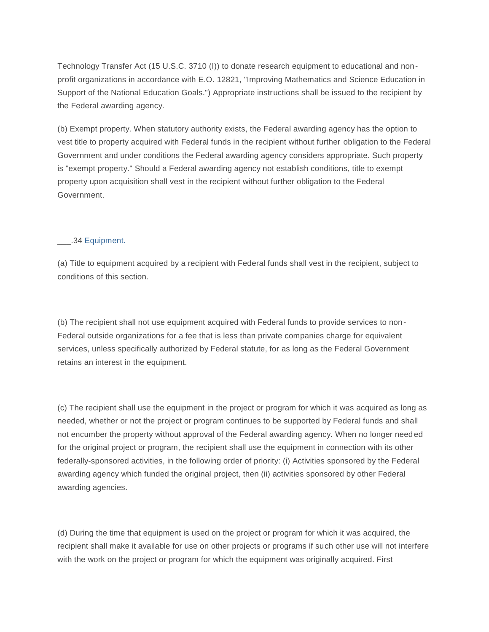Technology Transfer Act (15 U.S.C. 3710 (I)) to donate research equipment to educational and nonprofit organizations in accordance with E.O. 12821, "Improving Mathematics and Science Education in Support of the National Education Goals.") Appropriate instructions shall be issued to the recipient by the Federal awarding agency.

(b) Exempt property. When statutory authority exists, the Federal awarding agency has the option to vest title to property acquired with Federal funds in the recipient without further obligation to the Federal Government and under conditions the Federal awarding agency considers appropriate. Such property is "exempt property." Should a Federal awarding agency not establish conditions, title to exempt property upon acquisition shall vest in the recipient without further obligation to the Federal Government.

### <span id="page-29-0"></span>\_\_\_.34 [Equipment.](#page-2-2)

(a) Title to equipment acquired by a recipient with Federal funds shall vest in the recipient, subject to conditions of this section.

(b) The recipient shall not use equipment acquired with Federal funds to provide services to non-Federal outside organizations for a fee that is less than private companies charge for equivalent services, unless specifically authorized by Federal statute, for as long as the Federal Government retains an interest in the equipment.

(c) The recipient shall use the equipment in the project or program for which it was acquired as long as needed, whether or not the project or program continues to be supported by Federal funds and shall not encumber the property without approval of the Federal awarding agency. When no longer needed for the original project or program, the recipient shall use the equipment in connection with its other federally-sponsored activities, in the following order of priority: (i) Activities sponsored by the Federal awarding agency which funded the original project, then (ii) activities sponsored by other Federal awarding agencies.

(d) During the time that equipment is used on the project or program for which it was acquired, the recipient shall make it available for use on other projects or programs if such other use will not interfere with the work on the project or program for which the equipment was originally acquired. First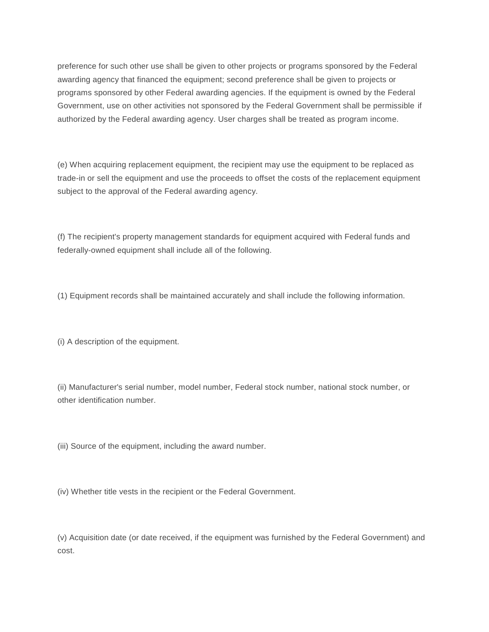preference for such other use shall be given to other projects or programs sponsored by the Federal awarding agency that financed the equipment; second preference shall be given to projects or programs sponsored by other Federal awarding agencies. If the equipment is owned by the Federal Government, use on other activities not sponsored by the Federal Government shall be permissible if authorized by the Federal awarding agency. User charges shall be treated as program income.

(e) When acquiring replacement equipment, the recipient may use the equipment to be replaced as trade-in or sell the equipment and use the proceeds to offset the costs of the replacement equipment subject to the approval of the Federal awarding agency.

(f) The recipient's property management standards for equipment acquired with Federal funds and federally-owned equipment shall include all of the following.

(1) Equipment records shall be maintained accurately and shall include the following information.

(i) A description of the equipment.

(ii) Manufacturer's serial number, model number, Federal stock number, national stock number, or other identification number.

(iii) Source of the equipment, including the award number.

(iv) Whether title vests in the recipient or the Federal Government.

(v) Acquisition date (or date received, if the equipment was furnished by the Federal Government) and cost.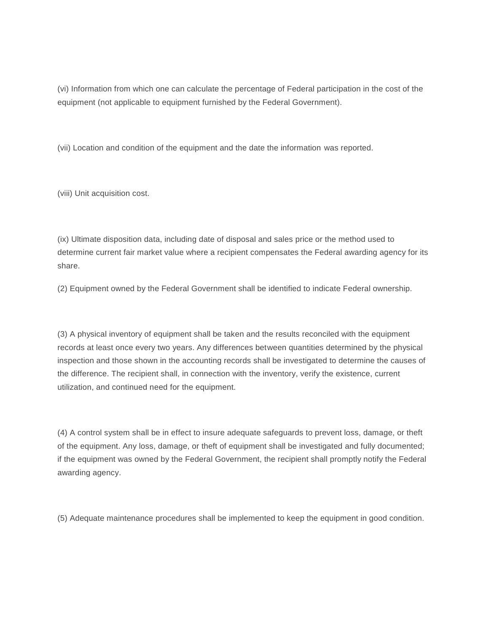(vi) Information from which one can calculate the percentage of Federal participation in the cost of the equipment (not applicable to equipment furnished by the Federal Government).

(vii) Location and condition of the equipment and the date the information was reported.

(viii) Unit acquisition cost.

(ix) Ultimate disposition data, including date of disposal and sales price or the method used to determine current fair market value where a recipient compensates the Federal awarding agency for its share.

(2) Equipment owned by the Federal Government shall be identified to indicate Federal ownership.

(3) A physical inventory of equipment shall be taken and the results reconciled with the equipment records at least once every two years. Any differences between quantities determined by the physical inspection and those shown in the accounting records shall be investigated to determine the causes of the difference. The recipient shall, in connection with the inventory, verify the existence, current utilization, and continued need for the equipment.

(4) A control system shall be in effect to insure adequate safeguards to prevent loss, damage, or theft of the equipment. Any loss, damage, or theft of equipment shall be investigated and fully documented; if the equipment was owned by the Federal Government, the recipient shall promptly notify the Federal awarding agency.

(5) Adequate maintenance procedures shall be implemented to keep the equipment in good condition.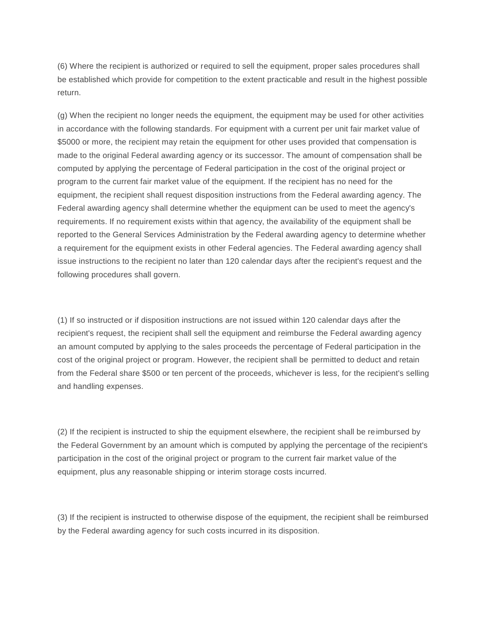(6) Where the recipient is authorized or required to sell the equipment, proper sales procedures shall be established which provide for competition to the extent practicable and result in the highest possible return.

(g) When the recipient no longer needs the equipment, the equipment may be used for other activities in accordance with the following standards. For equipment with a current per unit fair market value of \$5000 or more, the recipient may retain the equipment for other uses provided that compensation is made to the original Federal awarding agency or its successor. The amount of compensation shall be computed by applying the percentage of Federal participation in the cost of the original project or program to the current fair market value of the equipment. If the recipient has no need for the equipment, the recipient shall request disposition instructions from the Federal awarding agency. The Federal awarding agency shall determine whether the equipment can be used to meet the agency's requirements. If no requirement exists within that agency, the availability of the equipment shall be reported to the General Services Administration by the Federal awarding agency to determine whether a requirement for the equipment exists in other Federal agencies. The Federal awarding agency shall issue instructions to the recipient no later than 120 calendar days after the recipient's request and the following procedures shall govern.

(1) If so instructed or if disposition instructions are not issued within 120 calendar days after the recipient's request, the recipient shall sell the equipment and reimburse the Federal awarding agency an amount computed by applying to the sales proceeds the percentage of Federal participation in the cost of the original project or program. However, the recipient shall be permitted to deduct and retain from the Federal share \$500 or ten percent of the proceeds, whichever is less, for the recipient's selling and handling expenses.

(2) If the recipient is instructed to ship the equipment elsewhere, the recipient shall be reimbursed by the Federal Government by an amount which is computed by applying the percentage of the recipient's participation in the cost of the original project or program to the current fair market value of the equipment, plus any reasonable shipping or interim storage costs incurred.

(3) If the recipient is instructed to otherwise dispose of the equipment, the recipient shall be reimbursed by the Federal awarding agency for such costs incurred in its disposition.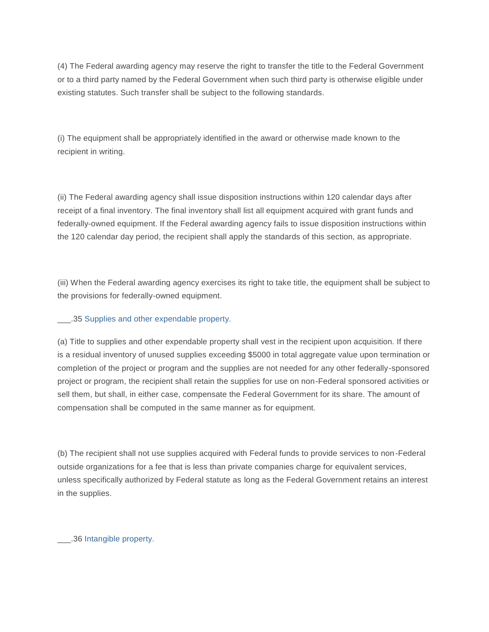(4) The Federal awarding agency may reserve the right to transfer the title to the Federal Government or to a third party named by the Federal Government when such third party is otherwise eligible under existing statutes. Such transfer shall be subject to the following standards.

(i) The equipment shall be appropriately identified in the award or otherwise made known to the recipient in writing.

(ii) The Federal awarding agency shall issue disposition instructions within 120 calendar days after receipt of a final inventory. The final inventory shall list all equipment acquired with grant funds and federally-owned equipment. If the Federal awarding agency fails to issue disposition instructions within the 120 calendar day period, the recipient shall apply the standards of this section, as appropriate.

(iii) When the Federal awarding agency exercises its right to take title, the equipment shall be subject to the provisions for federally-owned equipment.

# <span id="page-33-0"></span>\_\_\_.35 [Supplies and other expendable property.](#page-2-2)

(a) Title to supplies and other expendable property shall vest in the recipient upon acquisition. If there is a residual inventory of unused supplies exceeding \$5000 in total aggregate value upon termination or completion of the project or program and the supplies are not needed for any other federally-sponsored project or program, the recipient shall retain the supplies for use on non-Federal sponsored activities or sell them, but shall, in either case, compensate the Federal Government for its share. The amount of compensation shall be computed in the same manner as for equipment.

(b) The recipient shall not use supplies acquired with Federal funds to provide services to non-Federal outside organizations for a fee that is less than private companies charge for equivalent services, unless specifically authorized by Federal statute as long as the Federal Government retains an interest in the supplies.

<span id="page-33-1"></span>\_\_\_.36 [Intangible property.](#page-2-2)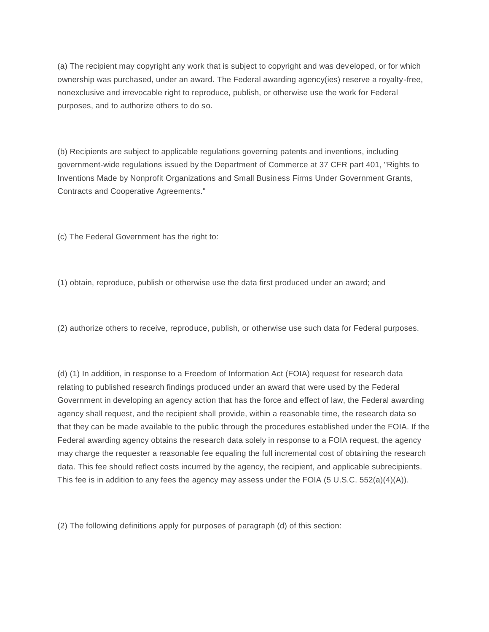(a) The recipient may copyright any work that is subject to copyright and was developed, or for which ownership was purchased, under an award. The Federal awarding agency(ies) reserve a royalty-free, nonexclusive and irrevocable right to reproduce, publish, or otherwise use the work for Federal purposes, and to authorize others to do so.

(b) Recipients are subject to applicable regulations governing patents and inventions, including government-wide regulations issued by the Department of Commerce at 37 CFR part 401, "Rights to Inventions Made by Nonprofit Organizations and Small Business Firms Under Government Grants, Contracts and Cooperative Agreements."

(c) The Federal Government has the right to:

(1) obtain, reproduce, publish or otherwise use the data first produced under an award; and

(2) authorize others to receive, reproduce, publish, or otherwise use such data for Federal purposes.

(d) (1) In addition, in response to a Freedom of Information Act (FOIA) request for research data relating to published research findings produced under an award that were used by the Federal Government in developing an agency action that has the force and effect of law, the Federal awarding agency shall request, and the recipient shall provide, within a reasonable time, the research data so that they can be made available to the public through the procedures established under the FOIA. If the Federal awarding agency obtains the research data solely in response to a FOIA request, the agency may charge the requester a reasonable fee equaling the full incremental cost of obtaining the research data. This fee should reflect costs incurred by the agency, the recipient, and applicable subrecipients. This fee is in addition to any fees the agency may assess under the FOIA (5 U.S.C. 552(a)(4)(A)).

(2) The following definitions apply for purposes of paragraph (d) of this section: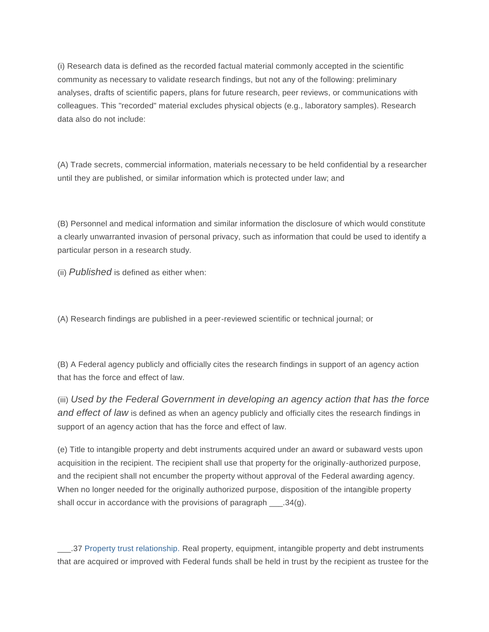(i) Research data is defined as the recorded factual material commonly accepted in the scientific community as necessary to validate research findings, but not any of the following: preliminary analyses, drafts of scientific papers, plans for future research, peer reviews, or communications with colleagues. This "recorded" material excludes physical objects (e.g., laboratory samples). Research data also do not include:

(A) Trade secrets, commercial information, materials necessary to be held confidential by a researcher until they are published, or similar information which is protected under law; and

(B) Personnel and medical information and similar information the disclosure of which would constitute a clearly unwarranted invasion of personal privacy, such as information that could be used to identify a particular person in a research study.

(ii) *Published* is defined as either when:

(A) Research findings are published in a peer-reviewed scientific or technical journal; or

(B) A Federal agency publicly and officially cites the research findings in support of an agency action that has the force and effect of law.

(iii) *Used by the Federal Government in developing an agency action that has the force and effect of law* is defined as when an agency publicly and officially cites the research findings in support of an agency action that has the force and effect of law.

(e) Title to intangible property and debt instruments acquired under an award or subaward vests upon acquisition in the recipient. The recipient shall use that property for the originally-authorized purpose, and the recipient shall not encumber the property without approval of the Federal awarding agency. When no longer needed for the originally authorized purpose, disposition of the intangible property shall occur in accordance with the provisions of paragraph \_\_\_\_.34(g).

<span id="page-35-0"></span>\_\_\_.37 [Property trust relationship.](#page-2-2) Real property, equipment, intangible property and debt instruments that are acquired or improved with Federal funds shall be held in trust by the recipient as trustee for the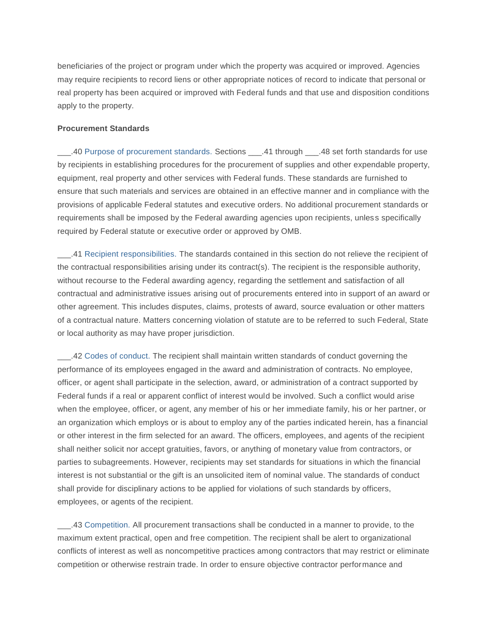beneficiaries of the project or program under which the property was acquired or improved. Agencies may require recipients to record liens or other appropriate notices of record to indicate that personal or real property has been acquired or improved with Federal funds and that use and disposition conditions apply to the property.

#### **Procurement Standards**

<span id="page-36-0"></span>\_\_\_.40 [Purpose of procurement standards.](#page-3-0) Sections \_\_\_.41 through \_\_\_.48 set forth standards for use by recipients in establishing procedures for the procurement of supplies and other expendable property, equipment, real property and other services with Federal funds. These standards are furnished to ensure that such materials and services are obtained in an effective manner and in compliance with the provisions of applicable Federal statutes and executive orders. No additional procurement standards or requirements shall be imposed by the Federal awarding agencies upon recipients, unless specifically required by Federal statute or executive order or approved by OMB.

<span id="page-36-1"></span>\_\_\_.41 [Recipient responsibilities.](#page-3-0) The standards contained in this section do not relieve the recipient of the contractual responsibilities arising under its contract(s). The recipient is the responsible authority, without recourse to the Federal awarding agency, regarding the settlement and satisfaction of all contractual and administrative issues arising out of procurements entered into in support of an award or other agreement. This includes disputes, claims, protests of award, source evaluation or other matters of a contractual nature. Matters concerning violation of statute are to be referred to such Federal, State or local authority as may have proper jurisdiction.

<span id="page-36-2"></span>\_\_\_.42 [Codes of conduct.](#page-3-0) The recipient shall maintain written standards of conduct governing the performance of its employees engaged in the award and administration of contracts. No employee, officer, or agent shall participate in the selection, award, or administration of a contract supported by Federal funds if a real or apparent conflict of interest would be involved. Such a conflict would arise when the employee, officer, or agent, any member of his or her immediate family, his or her partner, or an organization which employs or is about to employ any of the parties indicated herein, has a financial or other interest in the firm selected for an award. The officers, employees, and agents of the recipient shall neither solicit nor accept gratuities, favors, or anything of monetary value from contractors, or parties to subagreements. However, recipients may set standards for situations in which the financial interest is not substantial or the gift is an unsolicited item of nominal value. The standards of conduct shall provide for disciplinary actions to be applied for violations of such standards by officers, employees, or agents of the recipient.

<span id="page-36-3"></span>\_\_\_.43 [Competition.](#page-3-0) All procurement transactions shall be conducted in a manner to provide, to the maximum extent practical, open and free competition. The recipient shall be alert to organizational conflicts of interest as well as noncompetitive practices among contractors that may restrict or eliminate competition or otherwise restrain trade. In order to ensure objective contractor performance and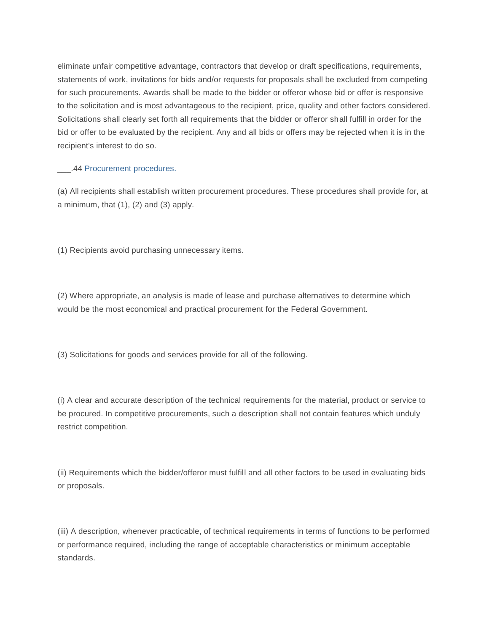eliminate unfair competitive advantage, contractors that develop or draft specifications, requirements, statements of work, invitations for bids and/or requests for proposals shall be excluded from competing for such procurements. Awards shall be made to the bidder or offeror whose bid or offer is responsive to the solicitation and is most advantageous to the recipient, price, quality and other factors considered. Solicitations shall clearly set forth all requirements that the bidder or offeror shall fulfill in order for the bid or offer to be evaluated by the recipient. Any and all bids or offers may be rejected when it is in the recipient's interest to do so.

# <span id="page-37-0"></span>\_\_\_.44 [Procurement procedures.](#page-3-0)

(a) All recipients shall establish written procurement procedures. These procedures shall provide for, at a minimum, that  $(1)$ ,  $(2)$  and  $(3)$  apply.

(1) Recipients avoid purchasing unnecessary items.

(2) Where appropriate, an analysis is made of lease and purchase alternatives to determine which would be the most economical and practical procurement for the Federal Government.

(3) Solicitations for goods and services provide for all of the following.

(i) A clear and accurate description of the technical requirements for the material, product or service to be procured. In competitive procurements, such a description shall not contain features which unduly restrict competition.

(ii) Requirements which the bidder/offeror must fulfill and all other factors to be used in evaluating bids or proposals.

(iii) A description, whenever practicable, of technical requirements in terms of functions to be performed or performance required, including the range of acceptable characteristics or minimum acceptable standards.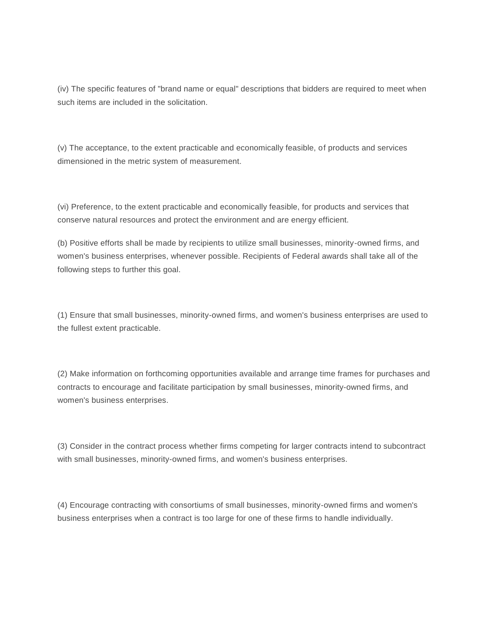(iv) The specific features of "brand name or equal" descriptions that bidders are required to meet when such items are included in the solicitation.

(v) The acceptance, to the extent practicable and economically feasible, of products and services dimensioned in the metric system of measurement.

(vi) Preference, to the extent practicable and economically feasible, for products and services that conserve natural resources and protect the environment and are energy efficient.

(b) Positive efforts shall be made by recipients to utilize small businesses, minority-owned firms, and women's business enterprises, whenever possible. Recipients of Federal awards shall take all of the following steps to further this goal.

(1) Ensure that small businesses, minority-owned firms, and women's business enterprises are used to the fullest extent practicable.

(2) Make information on forthcoming opportunities available and arrange time frames for purchases and contracts to encourage and facilitate participation by small businesses, minority-owned firms, and women's business enterprises.

(3) Consider in the contract process whether firms competing for larger contracts intend to subcontract with small businesses, minority-owned firms, and women's business enterprises.

(4) Encourage contracting with consortiums of small businesses, minority-owned firms and women's business enterprises when a contract is too large for one of these firms to handle individually.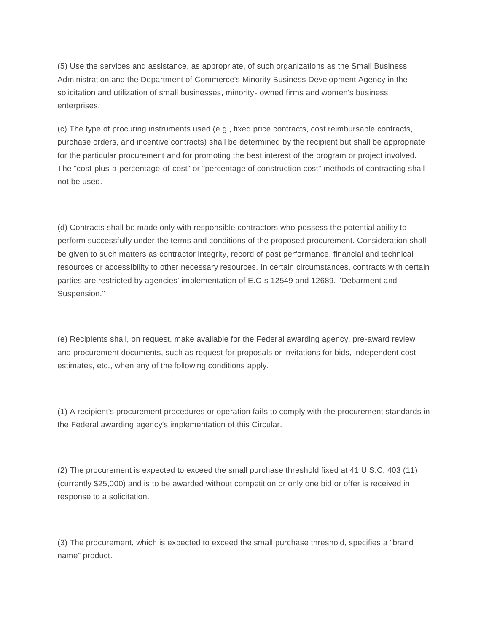(5) Use the services and assistance, as appropriate, of such organizations as the Small Business Administration and the Department of Commerce's Minority Business Development Agency in the solicitation and utilization of small businesses, minority- owned firms and women's business enterprises.

(c) The type of procuring instruments used (e.g., fixed price contracts, cost reimbursable contracts, purchase orders, and incentive contracts) shall be determined by the recipient but shall be appropriate for the particular procurement and for promoting the best interest of the program or project involved. The "cost-plus-a-percentage-of-cost" or "percentage of construction cost" methods of contracting shall not be used.

(d) Contracts shall be made only with responsible contractors who possess the potential ability to perform successfully under the terms and conditions of the proposed procurement. Consideration shall be given to such matters as contractor integrity, record of past performance, financial and technical resources or accessibility to other necessary resources. In certain circumstances, contracts with certain parties are restricted by agencies' implementation of E.O.s 12549 and 12689, "Debarment and Suspension."

(e) Recipients shall, on request, make available for the Federal awarding agency, pre-award review and procurement documents, such as request for proposals or invitations for bids, independent cost estimates, etc., when any of the following conditions apply.

(1) A recipient's procurement procedures or operation fails to comply with the procurement standards in the Federal awarding agency's implementation of this Circular.

(2) The procurement is expected to exceed the small purchase threshold fixed at 41 U.S.C. 403 (11) (currently \$25,000) and is to be awarded without competition or only one bid or offer is received in response to a solicitation.

(3) The procurement, which is expected to exceed the small purchase threshold, specifies a "brand name" product.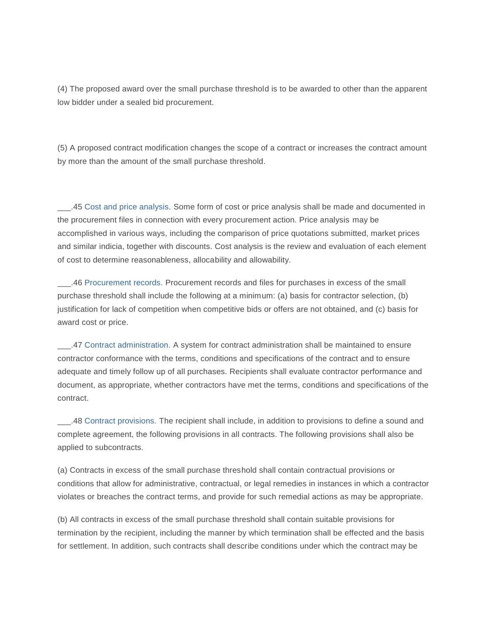(4) The proposed award over the small purchase threshold is to be awarded to other than the apparent low bidder under a sealed bid procurement.

(5) A proposed contract modification changes the scope of a contract or increases the contract amount by more than the amount of the small purchase threshold.

<span id="page-40-0"></span>\_\_\_.45 [Cost and price analysis.](#page-3-0) Some form of cost or price analysis shall be made and documented in the procurement files in connection with every procurement action. Price analysis may be accomplished in various ways, including the comparison of price quotations submitted, market prices and similar indicia, together with discounts. Cost analysis is the review and evaluation of each element of cost to determine reasonableness, allocability and allowability.

<span id="page-40-1"></span>\_\_\_.46 [Procurement records.](#page-3-0) Procurement records and files for purchases in excess of the small purchase threshold shall include the following at a minimum: (a) basis for contractor selection, (b) justification for lack of competition when competitive bids or offers are not obtained, and (c) basis for award cost or price.

<span id="page-40-2"></span>\_\_\_.47 [Contract administration.](#page-3-0) A system for contract administration shall be maintained to ensure contractor conformance with the terms, conditions and specifications of the contract and to ensure adequate and timely follow up of all purchases. Recipients shall evaluate contractor performance and document, as appropriate, whether contractors have met the terms, conditions and specifications of the contract.

<span id="page-40-3"></span>\_\_\_.48 [Contract provisions.](#page-3-0) The recipient shall include, in addition to provisions to define a sound and complete agreement, the following provisions in all contracts. The following provisions shall also be applied to subcontracts.

(a) Contracts in excess of the small purchase threshold shall contain contractual provisions or conditions that allow for administrative, contractual, or legal remedies in instances in which a contractor violates or breaches the contract terms, and provide for such remedial actions as may be appropriate.

(b) All contracts in excess of the small purchase threshold shall contain suitable provisions for termination by the recipient, including the manner by which termination shall be effected and the basis for settlement. In addition, such contracts shall describe conditions under which the contract may be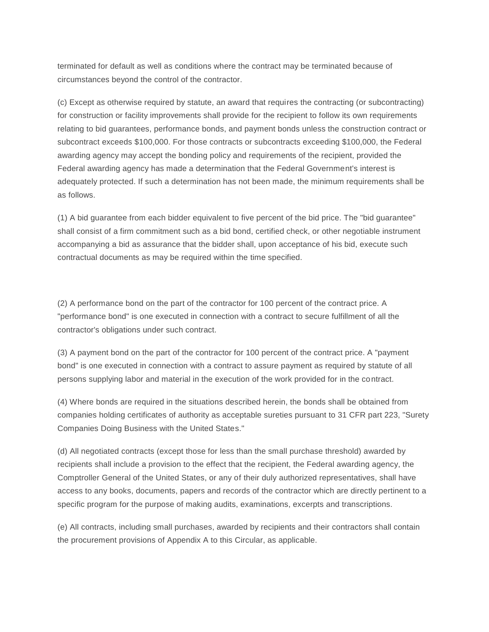terminated for default as well as conditions where the contract may be terminated because of circumstances beyond the control of the contractor.

(c) Except as otherwise required by statute, an award that requires the contracting (or subcontracting) for construction or facility improvements shall provide for the recipient to follow its own requirements relating to bid guarantees, performance bonds, and payment bonds unless the construction contract or subcontract exceeds \$100,000. For those contracts or subcontracts exceeding \$100,000, the Federal awarding agency may accept the bonding policy and requirements of the recipient, provided the Federal awarding agency has made a determination that the Federal Government's interest is adequately protected. If such a determination has not been made, the minimum requirements shall be as follows.

(1) A bid guarantee from each bidder equivalent to five percent of the bid price. The "bid guarantee" shall consist of a firm commitment such as a bid bond, certified check, or other negotiable instrument accompanying a bid as assurance that the bidder shall, upon acceptance of his bid, execute such contractual documents as may be required within the time specified.

(2) A performance bond on the part of the contractor for 100 percent of the contract price. A "performance bond" is one executed in connection with a contract to secure fulfillment of all the contractor's obligations under such contract.

(3) A payment bond on the part of the contractor for 100 percent of the contract price. A "payment bond" is one executed in connection with a contract to assure payment as required by statute of all persons supplying labor and material in the execution of the work provided for in the contract.

(4) Where bonds are required in the situations described herein, the bonds shall be obtained from companies holding certificates of authority as acceptable sureties pursuant to 31 CFR part 223, "Surety Companies Doing Business with the United States."

(d) All negotiated contracts (except those for less than the small purchase threshold) awarded by recipients shall include a provision to the effect that the recipient, the Federal awarding agency, the Comptroller General of the United States, or any of their duly authorized representatives, shall have access to any books, documents, papers and records of the contractor which are directly pertinent to a specific program for the purpose of making audits, examinations, excerpts and transcriptions.

(e) All contracts, including small purchases, awarded by recipients and their contractors shall contain the procurement provisions of Appendix A to this Circular, as applicable.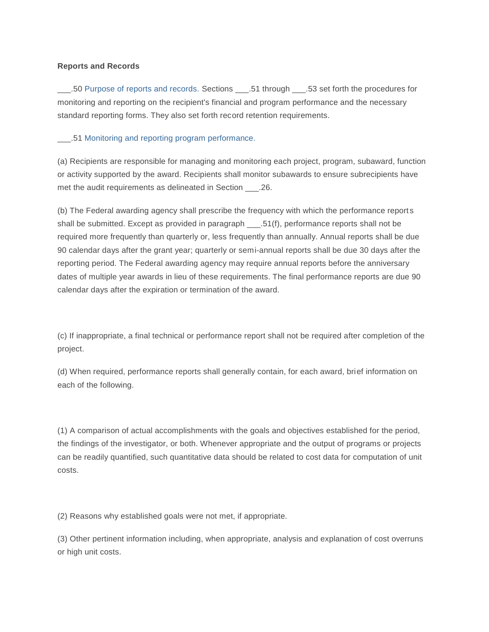## **Reports and Records**

<span id="page-42-0"></span>\_\_\_.50 [Purpose of reports and records.](#page-3-1) Sections \_\_\_.51 through \_\_\_.53 set forth the procedures for monitoring and reporting on the recipient's financial and program performance and the necessary standard reporting forms. They also set forth record retention requirements.

<span id="page-42-1"></span>\_\_\_.51 [Monitoring and reporting program performance.](#page-3-1)

(a) Recipients are responsible for managing and monitoring each project, program, subaward, function or activity supported by the award. Recipients shall monitor subawards to ensure subrecipients have met the audit requirements as delineated in Section .26.

(b) The Federal awarding agency shall prescribe the frequency with which the performance reports shall be submitted. Except as provided in paragraph \_\_\_\_.51(f), performance reports shall not be required more frequently than quarterly or, less frequently than annually. Annual reports shall be due 90 calendar days after the grant year; quarterly or semi-annual reports shall be due 30 days after the reporting period. The Federal awarding agency may require annual reports before the anniversary dates of multiple year awards in lieu of these requirements. The final performance reports are due 90 calendar days after the expiration or termination of the award.

(c) If inappropriate, a final technical or performance report shall not be required after completion of the project.

(d) When required, performance reports shall generally contain, for each award, brief information on each of the following.

(1) A comparison of actual accomplishments with the goals and objectives established for the period, the findings of the investigator, or both. Whenever appropriate and the output of programs or projects can be readily quantified, such quantitative data should be related to cost data for computation of unit costs.

(2) Reasons why established goals were not met, if appropriate.

(3) Other pertinent information including, when appropriate, analysis and explanation of cost overruns or high unit costs.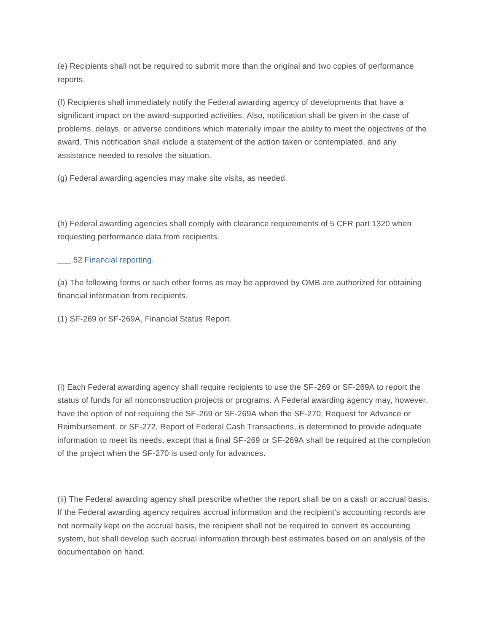(e) Recipients shall not be required to submit more than the original and two copies of performance reports.

(f) Recipients shall immediately notify the Federal awarding agency of developments that have a significant impact on the award-supported activities. Also, notification shall be given in the case of problems, delays, or adverse conditions which materially impair the ability to meet the objectives of the award. This notification shall include a statement of the action taken or contemplated, and any assistance needed to resolve the situation.

(g) Federal awarding agencies may make site visits, as needed.

(h) Federal awarding agencies shall comply with clearance requirements of 5 CFR part 1320 when requesting performance data from recipients.

# <span id="page-43-0"></span>\_\_\_.52 [Financial reporting.](#page-3-1)

(a) The following forms or such other forms as may be approved by OMB are authorized for obtaining financial information from recipients.

(1) SF-269 or SF-269A, Financial Status Report.

(i) Each Federal awarding agency shall require recipients to use the SF-269 or SF-269A to report the status of funds for all nonconstruction projects or programs. A Federal awarding agency may, however, have the option of not requiring the SF-269 or SF-269A when the SF-270, Request for Advance or Reimbursement, or SF-272, Report of Federal Cash Transactions, is determined to provide adequate information to meet its needs, except that a final SF-269 or SF-269A shall be required at the completion of the project when the SF-270 is used only for advances.

(ii) The Federal awarding agency shall prescribe whether the report shall be on a cash or accrual basis. If the Federal awarding agency requires accrual information and the recipient's accounting records are not normally kept on the accrual basis, the recipient shall not be required to convert its accounting system, but shall develop such accrual information through best estimates based on an analysis of the documentation on hand.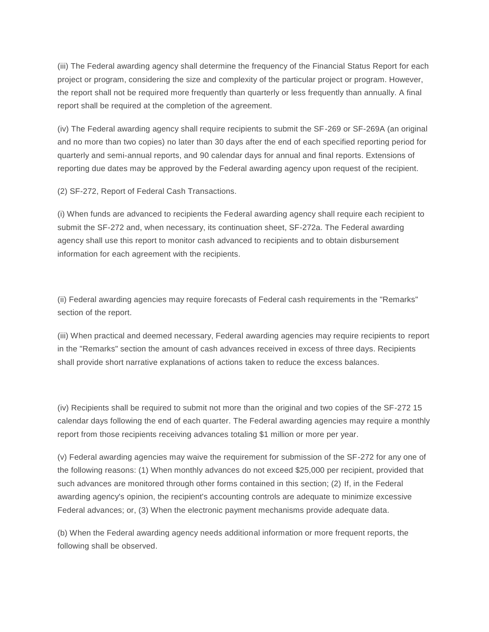(iii) The Federal awarding agency shall determine the frequency of the Financial Status Report for each project or program, considering the size and complexity of the particular project or program. However, the report shall not be required more frequently than quarterly or less frequently than annually. A final report shall be required at the completion of the agreement.

(iv) The Federal awarding agency shall require recipients to submit the SF-269 or SF-269A (an original and no more than two copies) no later than 30 days after the end of each specified reporting period for quarterly and semi-annual reports, and 90 calendar days for annual and final reports. Extensions of reporting due dates may be approved by the Federal awarding agency upon request of the recipient.

(2) SF-272, Report of Federal Cash Transactions.

(i) When funds are advanced to recipients the Federal awarding agency shall require each recipient to submit the SF-272 and, when necessary, its continuation sheet, SF-272a. The Federal awarding agency shall use this report to monitor cash advanced to recipients and to obtain disbursement information for each agreement with the recipients.

(ii) Federal awarding agencies may require forecasts of Federal cash requirements in the "Remarks" section of the report.

(iii) When practical and deemed necessary, Federal awarding agencies may require recipients to report in the "Remarks" section the amount of cash advances received in excess of three days. Recipients shall provide short narrative explanations of actions taken to reduce the excess balances.

(iv) Recipients shall be required to submit not more than the original and two copies of the SF-272 15 calendar days following the end of each quarter. The Federal awarding agencies may require a monthly report from those recipients receiving advances totaling \$1 million or more per year.

(v) Federal awarding agencies may waive the requirement for submission of the SF-272 for any one of the following reasons: (1) When monthly advances do not exceed \$25,000 per recipient, provided that such advances are monitored through other forms contained in this section; (2) If, in the Federal awarding agency's opinion, the recipient's accounting controls are adequate to minimize excessive Federal advances; or, (3) When the electronic payment mechanisms provide adequate data.

(b) When the Federal awarding agency needs additional information or more frequent reports, the following shall be observed.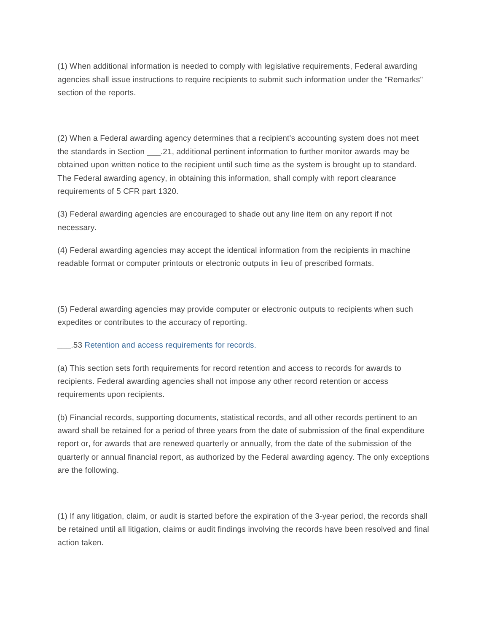(1) When additional information is needed to comply with legislative requirements, Federal awarding agencies shall issue instructions to require recipients to submit such information under the "Remarks" section of the reports.

(2) When a Federal awarding agency determines that a recipient's accounting system does not meet the standards in Section \_\_\_.21, additional pertinent information to further monitor awards may be obtained upon written notice to the recipient until such time as the system is brought up to standard. The Federal awarding agency, in obtaining this information, shall comply with report clearance requirements of 5 CFR part 1320.

(3) Federal awarding agencies are encouraged to shade out any line item on any report if not necessary.

(4) Federal awarding agencies may accept the identical information from the recipients in machine readable format or computer printouts or electronic outputs in lieu of prescribed formats.

(5) Federal awarding agencies may provide computer or electronic outputs to recipients when such expedites or contributes to the accuracy of reporting.

# <span id="page-45-0"></span>\_\_\_.53 [Retention and access requirements for records.](#page-3-1)

(a) This section sets forth requirements for record retention and access to records for awards to recipients. Federal awarding agencies shall not impose any other record retention or access requirements upon recipients.

(b) Financial records, supporting documents, statistical records, and all other records pertinent to an award shall be retained for a period of three years from the date of submission of the final expenditure report or, for awards that are renewed quarterly or annually, from the date of the submission of the quarterly or annual financial report, as authorized by the Federal awarding agency. The only exceptions are the following.

(1) If any litigation, claim, or audit is started before the expiration of the 3-year period, the records shall be retained until all litigation, claims or audit findings involving the records have been resolved and final action taken.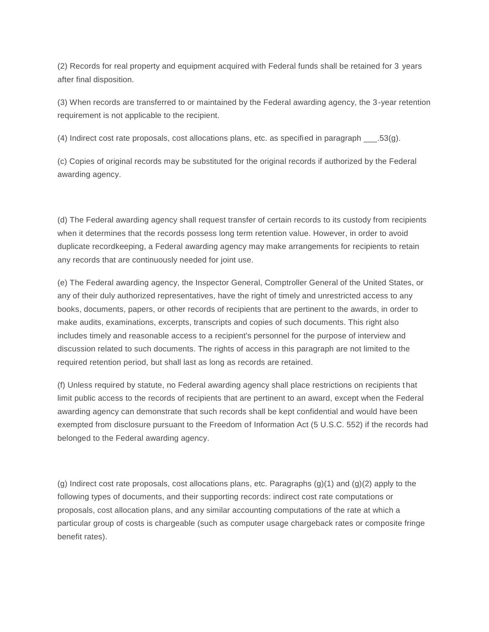(2) Records for real property and equipment acquired with Federal funds shall be retained for 3 years after final disposition.

(3) When records are transferred to or maintained by the Federal awarding agency, the 3-year retention requirement is not applicable to the recipient.

(4) Indirect cost rate proposals, cost allocations plans, etc. as specified in paragraph  $\_\_$ . 53(g).

(c) Copies of original records may be substituted for the original records if authorized by the Federal awarding agency.

(d) The Federal awarding agency shall request transfer of certain records to its custody from recipients when it determines that the records possess long term retention value. However, in order to avoid duplicate recordkeeping, a Federal awarding agency may make arrangements for recipients to retain any records that are continuously needed for joint use.

(e) The Federal awarding agency, the Inspector General, Comptroller General of the United States, or any of their duly authorized representatives, have the right of timely and unrestricted access to any books, documents, papers, or other records of recipients that are pertinent to the awards, in order to make audits, examinations, excerpts, transcripts and copies of such documents. This right also includes timely and reasonable access to a recipient's personnel for the purpose of interview and discussion related to such documents. The rights of access in this paragraph are not limited to the required retention period, but shall last as long as records are retained.

(f) Unless required by statute, no Federal awarding agency shall place restrictions on recipients that limit public access to the records of recipients that are pertinent to an award, except when the Federal awarding agency can demonstrate that such records shall be kept confidential and would have been exempted from disclosure pursuant to the Freedom of Information Act (5 U.S.C. 552) if the records had belonged to the Federal awarding agency.

(g) Indirect cost rate proposals, cost allocations plans, etc. Paragraphs  $(g)(1)$  and  $(g)(2)$  apply to the following types of documents, and their supporting records: indirect cost rate computations or proposals, cost allocation plans, and any similar accounting computations of the rate at which a particular group of costs is chargeable (such as computer usage chargeback rates or composite fringe benefit rates).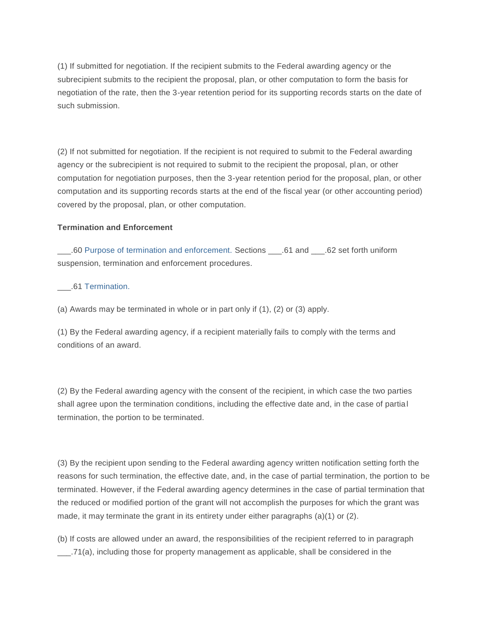(1) If submitted for negotiation. If the recipient submits to the Federal awarding agency or the subrecipient submits to the recipient the proposal, plan, or other computation to form the basis for negotiation of the rate, then the 3-year retention period for its supporting records starts on the date of such submission.

(2) If not submitted for negotiation. If the recipient is not required to submit to the Federal awarding agency or the subrecipient is not required to submit to the recipient the proposal, plan, or other computation for negotiation purposes, then the 3-year retention period for the proposal, plan, or other computation and its supporting records starts at the end of the fiscal year (or other accounting period) covered by the proposal, plan, or other computation.

#### **Termination and Enforcement**

<span id="page-47-0"></span>\_\_\_.60 [Purpose of termination and enforcement.](#page-4-2) Sections \_\_\_.61 and \_\_\_.62 set forth uniform suspension, termination and enforcement procedures.

#### <span id="page-47-1"></span>\_\_\_.61 [Termination.](#page-4-2)

(a) Awards may be terminated in whole or in part only if (1), (2) or (3) apply.

(1) By the Federal awarding agency, if a recipient materially fails to comply with the terms and conditions of an award.

(2) By the Federal awarding agency with the consent of the recipient, in which case the two parties shall agree upon the termination conditions, including the effective date and, in the case of partial termination, the portion to be terminated.

(3) By the recipient upon sending to the Federal awarding agency written notification setting forth the reasons for such termination, the effective date, and, in the case of partial termination, the portion to be terminated. However, if the Federal awarding agency determines in the case of partial termination that the reduced or modified portion of the grant will not accomplish the purposes for which the grant was made, it may terminate the grant in its entirety under either paragraphs (a)(1) or (2).

(b) If costs are allowed under an award, the responsibilities of the recipient referred to in paragraph \_\_\_.71(a), including those for property management as applicable, shall be considered in the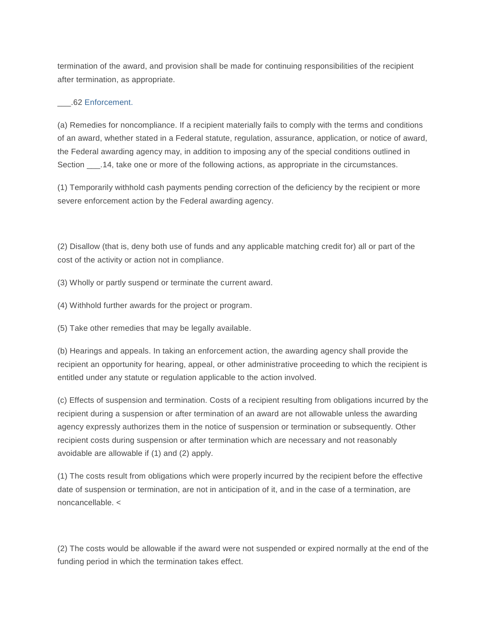termination of the award, and provision shall be made for continuing responsibilities of the recipient after termination, as appropriate.

# <span id="page-48-0"></span>\_\_\_.62 [Enforcement.](#page-4-2)

(a) Remedies for noncompliance. If a recipient materially fails to comply with the terms and conditions of an award, whether stated in a Federal statute, regulation, assurance, application, or notice of award, the Federal awarding agency may, in addition to imposing any of the special conditions outlined in Section  $\_\_\_$ . 14, take one or more of the following actions, as appropriate in the circumstances.

(1) Temporarily withhold cash payments pending correction of the deficiency by the recipient or more severe enforcement action by the Federal awarding agency.

(2) Disallow (that is, deny both use of funds and any applicable matching credit for) all or part of the cost of the activity or action not in compliance.

(3) Wholly or partly suspend or terminate the current award.

(4) Withhold further awards for the project or program.

(5) Take other remedies that may be legally available.

(b) Hearings and appeals. In taking an enforcement action, the awarding agency shall provide the recipient an opportunity for hearing, appeal, or other administrative proceeding to which the recipient is entitled under any statute or regulation applicable to the action involved.

(c) Effects of suspension and termination. Costs of a recipient resulting from obligations incurred by the recipient during a suspension or after termination of an award are not allowable unless the awarding agency expressly authorizes them in the notice of suspension or termination or subsequently. Other recipient costs during suspension or after termination which are necessary and not reasonably avoidable are allowable if (1) and (2) apply.

(1) The costs result from obligations which were properly incurred by the recipient before the effective date of suspension or termination, are not in anticipation of it, and in the case of a termination, are noncancellable. <

(2) The costs would be allowable if the award were not suspended or expired normally at the end of the funding period in which the termination takes effect.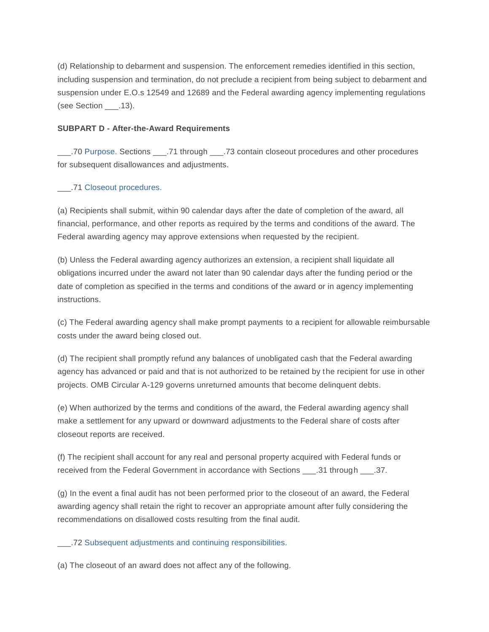(d) Relationship to debarment and suspension. The enforcement remedies identified in this section, including suspension and termination, do not preclude a recipient from being subject to debarment and suspension under E.O.s 12549 and 12689 and the Federal awarding agency implementing regulations (see Section \_\_\_.13).

#### **SUBPART D - After-the-Award Requirements**

<span id="page-49-0"></span>\_\_\_.70 [Purpose.](#page-4-3) Sections \_\_\_.71 through \_\_\_.73 contain closeout procedures and other procedures for subsequent disallowances and adjustments.

# <span id="page-49-1"></span>\_\_\_.71 [Closeout procedures.](#page-4-3)

(a) Recipients shall submit, within 90 calendar days after the date of completion of the award, all financial, performance, and other reports as required by the terms and conditions of the award. The Federal awarding agency may approve extensions when requested by the recipient.

(b) Unless the Federal awarding agency authorizes an extension, a recipient shall liquidate all obligations incurred under the award not later than 90 calendar days after the funding period or the date of completion as specified in the terms and conditions of the award or in agency implementing instructions.

(c) The Federal awarding agency shall make prompt payments to a recipient for allowable reimbursable costs under the award being closed out.

(d) The recipient shall promptly refund any balances of unobligated cash that the Federal awarding agency has advanced or paid and that is not authorized to be retained by the recipient for use in other projects. OMB Circular A-129 governs unreturned amounts that become delinquent debts.

(e) When authorized by the terms and conditions of the award, the Federal awarding agency shall make a settlement for any upward or downward adjustments to the Federal share of costs after closeout reports are received.

(f) The recipient shall account for any real and personal property acquired with Federal funds or received from the Federal Government in accordance with Sections \_\_\_.31 through \_\_\_.37.

(g) In the event a final audit has not been performed prior to the closeout of an award, the Federal awarding agency shall retain the right to recover an appropriate amount after fully considering the recommendations on disallowed costs resulting from the final audit.

<span id="page-49-2"></span>\_\_\_.72 [Subsequent adjustments and continuing responsibilities.](#page-4-3)

(a) The closeout of an award does not affect any of the following.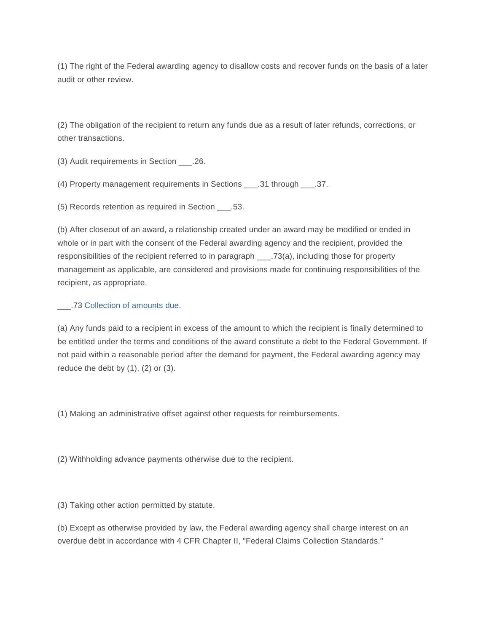(1) The right of the Federal awarding agency to disallow costs and recover funds on the basis of a later audit or other review.

(2) The obligation of the recipient to return any funds due as a result of later refunds, corrections, or other transactions.

(3) Audit requirements in Section \_\_\_.26.

(4) Property management requirements in Sections \_\_\_.31 through \_\_\_.37.

(5) Records retention as required in Section \_\_\_.53.

(b) After closeout of an award, a relationship created under an award may be modified or ended in whole or in part with the consent of the Federal awarding agency and the recipient, provided the responsibilities of the recipient referred to in paragraph \_\_\_.73(a), including those for property management as applicable, are considered and provisions made for continuing responsibilities of the recipient, as appropriate.

# <span id="page-50-0"></span>\_\_\_.73 [Collection of amounts due.](#page-4-3)

(a) Any funds paid to a recipient in excess of the amount to which the recipient is finally determined to be entitled under the terms and conditions of the award constitute a debt to the Federal Government. If not paid within a reasonable period after the demand for payment, the Federal awarding agency may reduce the debt by  $(1)$ ,  $(2)$  or  $(3)$ .

(1) Making an administrative offset against other requests for reimbursements.

(2) Withholding advance payments otherwise due to the recipient.

(3) Taking other action permitted by statute.

(b) Except as otherwise provided by law, the Federal awarding agency shall charge interest on an overdue debt in accordance with 4 CFR Chapter II, "Federal Claims Collection Standards."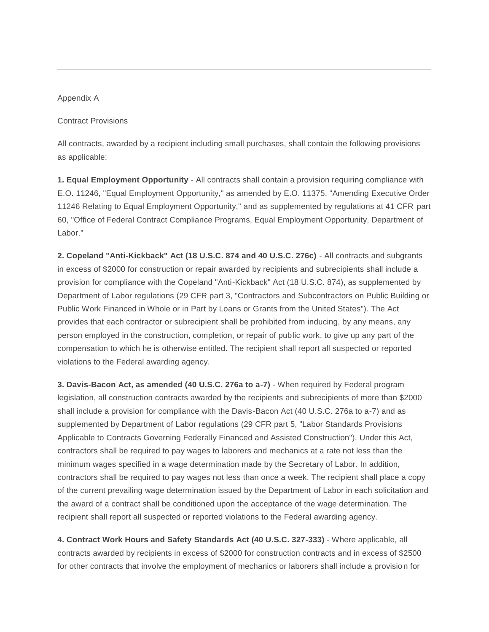# Appendix A

Contract Provisions

All contracts, awarded by a recipient including small purchases, shall contain the following provisions as applicable:

**1. Equal Employment Opportunity** - All contracts shall contain a provision requiring compliance with E.O. 11246, "Equal Employment Opportunity," as amended by E.O. 11375, "Amending Executive Order 11246 Relating to Equal Employment Opportunity," and as supplemented by regulations at 41 CFR part 60, "Office of Federal Contract Compliance Programs, Equal Employment Opportunity, Department of Labor."

**2. Copeland "Anti-Kickback" Act (18 U.S.C. 874 and 40 U.S.C. 276c)** - All contracts and subgrants in excess of \$2000 for construction or repair awarded by recipients and subrecipients shall include a provision for compliance with the Copeland "Anti-Kickback" Act (18 U.S.C. 874), as supplemented by Department of Labor regulations (29 CFR part 3, "Contractors and Subcontractors on Public Building or Public Work Financed in Whole or in Part by Loans or Grants from the United States"). The Act provides that each contractor or subrecipient shall be prohibited from inducing, by any means, any person employed in the construction, completion, or repair of public work, to give up any part of the compensation to which he is otherwise entitled. The recipient shall report all suspected or reported violations to the Federal awarding agency.

**3. Davis-Bacon Act, as amended (40 U.S.C. 276a to a-7)** - When required by Federal program legislation, all construction contracts awarded by the recipients and subrecipients of more than \$2000 shall include a provision for compliance with the Davis-Bacon Act (40 U.S.C. 276a to a-7) and as supplemented by Department of Labor regulations (29 CFR part 5, "Labor Standards Provisions Applicable to Contracts Governing Federally Financed and Assisted Construction"). Under this Act, contractors shall be required to pay wages to laborers and mechanics at a rate not less than the minimum wages specified in a wage determination made by the Secretary of Labor. In addition, contractors shall be required to pay wages not less than once a week. The recipient shall place a copy of the current prevailing wage determination issued by the Department of Labor in each solicitation and the award of a contract shall be conditioned upon the acceptance of the wage determination. The recipient shall report all suspected or reported violations to the Federal awarding agency.

**4. Contract Work Hours and Safety Standards Act (40 U.S.C. 327-333)** - Where applicable, all contracts awarded by recipients in excess of \$2000 for construction contracts and in excess of \$2500 for other contracts that involve the employment of mechanics or laborers shall include a provision for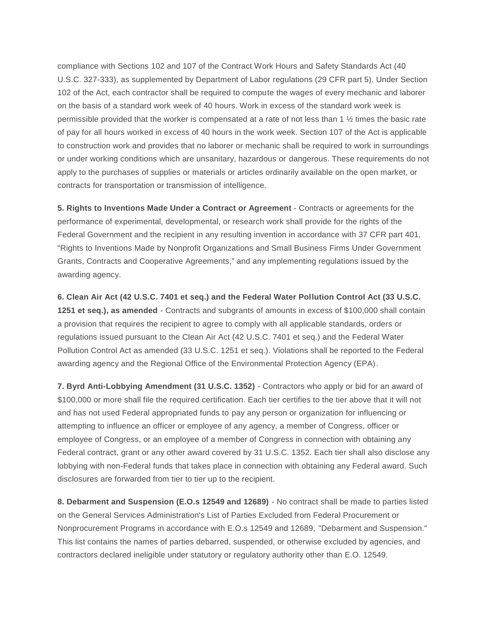compliance with Sections 102 and 107 of the Contract Work Hours and Safety Standards Act (40 U.S.C. 327-333), as supplemented by Department of Labor regulations (29 CFR part 5). Under Section 102 of the Act, each contractor shall be required to compute the wages of every mechanic and laborer on the basis of a standard work week of 40 hours. Work in excess of the standard work week is permissible provided that the worker is compensated at a rate of not less than 1 ½ times the basic rate of pay for all hours worked in excess of 40 hours in the work week. Section 107 of the Act is applicable to construction work and provides that no laborer or mechanic shall be required to work in surroundings or under working conditions which are unsanitary, hazardous or dangerous. These requirements do not apply to the purchases of supplies or materials or articles ordinarily available on the open market, or contracts for transportation or transmission of intelligence.

**5. Rights to Inventions Made Under a Contract or Agreement** - Contracts or agreements for the performance of experimental, developmental, or research work shall provide for the rights of the Federal Government and the recipient in any resulting invention in accordance with 37 CFR part 401, "Rights to Inventions Made by Nonprofit Organizations and Small Business Firms Under Government Grants, Contracts and Cooperative Agreements," and any implementing regulations issued by the awarding agency.

**6. Clean Air Act (42 U.S.C. 7401 et seq.) and the Federal Water Pollution Control Act (33 U.S.C. 1251 et seq.), as amended** - Contracts and subgrants of amounts in excess of \$100,000 shall contain a provision that requires the recipient to agree to comply with all applicable standards, orders or regulations issued pursuant to the Clean Air Act (42 U.S.C. 7401 et seq.) and the Federal Water Pollution Control Act as amended (33 U.S.C. 1251 et seq.). Violations shall be reported to the Federal awarding agency and the Regional Office of the Environmental Protection Agency (EPA).

**7. Byrd Anti-Lobbying Amendment (31 U.S.C. 1352)** - Contractors who apply or bid for an award of \$100,000 or more shall file the required certification. Each tier certifies to the tier above that it will not and has not used Federal appropriated funds to pay any person or organization for influencing or attempting to influence an officer or employee of any agency, a member of Congress, officer or employee of Congress, or an employee of a member of Congress in connection with obtaining any Federal contract, grant or any other award covered by 31 U.S.C. 1352. Each tier shall also disclose any lobbying with non-Federal funds that takes place in connection with obtaining any Federal award. Such disclosures are forwarded from tier to tier up to the recipient.

**8. Debarment and Suspension (E.O.s 12549 and 12689)** - No contract shall be made to parties listed on the General Services Administration's List of Parties Excluded from Federal Procurement or Nonprocurement Programs in accordance with E.O.s 12549 and 12689, "Debarment and Suspension." This list contains the names of parties debarred, suspended, or otherwise excluded by agencies, and contractors declared ineligible under statutory or regulatory authority other than E.O. 12549.